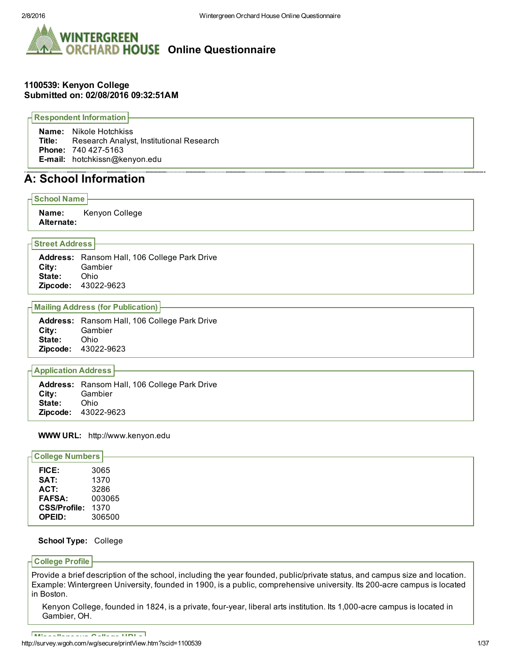

## 1100539: Kenyon College Submitted on: 02/08/2016 09:32:51AM

Respondent Information

Name: Nikole Hotchkiss Title: Research Analyst, Institutional Research Phone: 740 427-5163 Email: hotchkissn@kenyon.edu

# A: School Information

#### School Name

Name: Kenyon College Alternate:

## Street Address

Address: Ransom Hall, 106 College Park Drive City: Gambier State: Ohio **Zipcode: 43022-9623** 

## Mailing Address (for Publication)

|            | <b>Address:</b> Ransom Hall, 106 College Park Drive |
|------------|-----------------------------------------------------|
| City: City | Gambier                                             |
| State:     | . Ohio                                              |
|            | <b>Zipcode: 43022-9623</b>                          |

## Application Address

|        | <b>Address:</b> Ransom Hall, 106 College Park Drive |
|--------|-----------------------------------------------------|
| City:  | Gambier                                             |
| State: | Ohio                                                |
|        | <b>Zipcode: 43022-9623</b>                          |

## WWW URL: http://www.kenyon.edu

| <b>College Numbers</b> |        |
|------------------------|--------|
| <b>FICE:</b>           | 3065   |
| SAT:                   | 1370   |
| ACT:                   | 3286   |
| <b>FAFSA:</b>          | 003065 |
| CSS/Profile: 1370      |        |
| <b>OPEID:</b>          | 306500 |

## School Type: College

## College Profile

Provide a brief description of the school, including the year founded, public/private status, and campus size and location. Example: Wintergreen University, founded in 1900, is a public, comprehensive university. Its 200-acre campus is located in Boston.

Kenyon College, founded in 1824, is a private, four-year, liberal arts institution. Its 1,000-acre campus is located in Gambier, OH.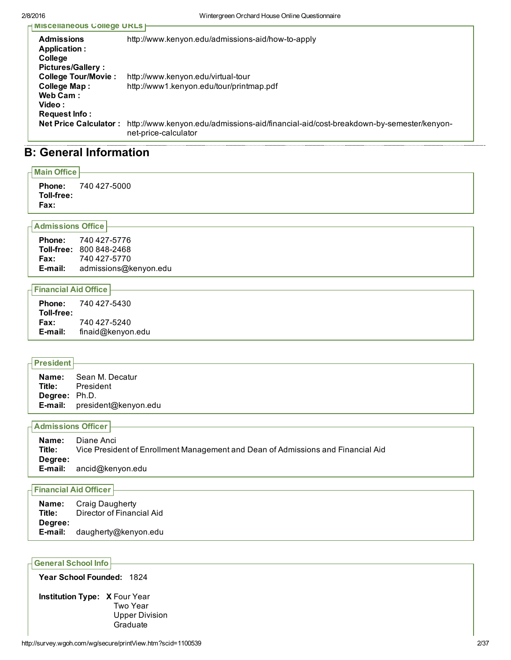| <b>INISCEIIANEOUS COIIEGE UKLS</b>                                                            |                                                                                                               |
|-----------------------------------------------------------------------------------------------|---------------------------------------------------------------------------------------------------------------|
| <b>Admissions</b><br>Application :<br>College                                                 | http://www.kenyon.edu/admissions-aid/how-to-apply                                                             |
| <b>Pictures/Gallery:</b><br><b>College Tour/Movie:</b><br>College Map:<br>Web Cam:<br>Video : | http://www.kenyon.edu/virtual-tour<br>http://www1.kenyon.edu/tour/printmap.pdf                                |
| <b>Request Info:</b><br><b>Net Price Calculator:</b>                                          | http://www.kenyon.edu/admissions-aid/financial-aid/cost-breakdown-by-semester/kenyon-<br>net-price-calculator |

# B: General Information

| $\overline{\mathsf{I}}$ Main Office        |                            |
|--------------------------------------------|----------------------------|
| Toll-free:<br>Fax:                         | <b>Phone: 740 427-5000</b> |
| $\overline{\phantom{a}}$ Admissions Office |                            |

| <b>Phone:</b> | 740 427-5776                   |
|---------------|--------------------------------|
|               | <b>Toll-free: 800 848-2468</b> |
| Fax:          | 740 427-5770                   |
| E-mail:       | admissions@kenyon.edu          |

## Financial Aid Office

| <b>Phone:</b><br>Toll-free: | 740 427-5430      |
|-----------------------------|-------------------|
| Fax:                        | 740 427-5240      |
| E-mail:                     | finaid@kenyon.edu |

| $\vert$ President $\vert$ |                              |
|---------------------------|------------------------------|
|                           | <b>Name:</b> Sean M. Decatur |
|                           | <b>Title:</b> President      |
| Degree: Ph.D.             |                              |
|                           | E-mail: president@kenyon.edu |

| <b>- Admissions Officer ⊦</b> |                                                                                                |
|-------------------------------|------------------------------------------------------------------------------------------------|
| Name:<br>Title:<br>Degree:    | Diane Anci<br>Vice President of Enrollment Management and Dean of Admissions and Financial Aid |
| E-mail:                       | ancid@kenyon.edu                                                                               |

## Financial Aid Officer

| Name:<br>Title: | Craig Daugherty<br>Director of Financial Aid |
|-----------------|----------------------------------------------|
| Degree:         |                                              |
| E-mail:         | daugherty@kenyon.edu                         |

## General School Info

Year School Founded: 1824

Institution Type: X Four Year Two Year Upper Division Graduate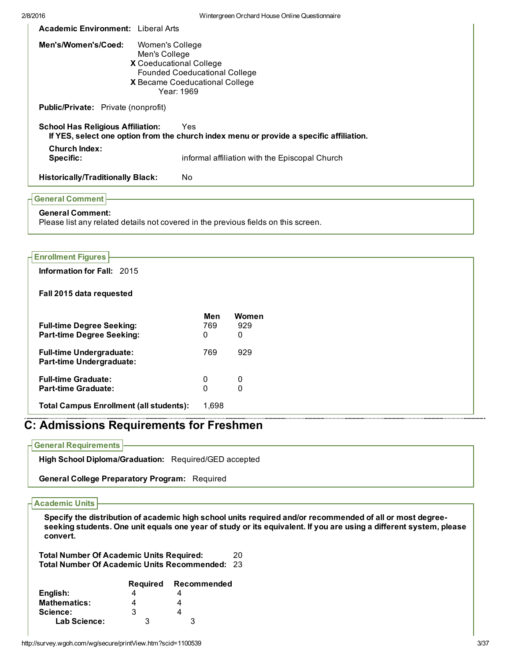| 2/8/2016                                   | Wintergreen Orchard House Online Questionnaire                                                                                                      |
|--------------------------------------------|-----------------------------------------------------------------------------------------------------------------------------------------------------|
| <b>Academic Environment:</b> Liberal Arts  |                                                                                                                                                     |
| Men's/Women's/Coed:                        | Women's College<br>Men's College<br>X Coeducational College<br><b>Founded Coeducational College</b><br>X Became Coeducational College<br>Year: 1969 |
| <b>Public/Private:</b> Private (nonprofit) |                                                                                                                                                     |
| <b>School Has Religious Affiliation:</b>   | Yes<br>If YES, select one option from the church index menu or provide a specific affiliation.                                                      |
| <b>Church Index:</b><br>Specific:          | informal affiliation with the Episcopal Church                                                                                                      |
| <b>Historically/Traditionally Black:</b>   | No.                                                                                                                                                 |
| <b>General Comment</b>                     |                                                                                                                                                     |

# General Comment:

Please list any related details not covered in the previous fields on this screen.

| <b>Enrollment Figures</b>                      |          |              |  |
|------------------------------------------------|----------|--------------|--|
| Information for Fall: 2015                     |          |              |  |
| Fall 2015 data requested                       |          |              |  |
|                                                | Men      | <b>Women</b> |  |
| <b>Full-time Degree Seeking:</b>               | 769      | 929          |  |
| <b>Part-time Degree Seeking:</b>               | 0        | $\mathbf{0}$ |  |
| <b>Full-time Undergraduate:</b>                | 769      | 929          |  |
| <b>Part-time Undergraduate:</b>                |          |              |  |
| <b>Full-time Graduate:</b>                     | 0        | 0            |  |
| <b>Part-time Graduate:</b>                     | $\Omega$ | $\Omega$     |  |
| <b>Total Campus Enrollment (all students):</b> | 1,698    |              |  |

# C: Admissions Requirements for Freshmen

## General Requirements

High School Diploma/Graduation: Required/GED accepted

General College Preparatory Program: Required

#### Academic Units

Specify the distribution of academic high school units required and/or recommended of all or most degreeseeking students. One unit equals one year of study or its equivalent. If you are using a different system, please convert.

Total Number Of Academic Units Required: 20 Total Number Of Academic Units Recommended: 23

|                     | <b>Required</b> | Recommended |
|---------------------|-----------------|-------------|
| English:            |                 |             |
| <b>Mathematics:</b> |                 |             |
| Science:            | 3               |             |
| Lab Science:        | З               | 3           |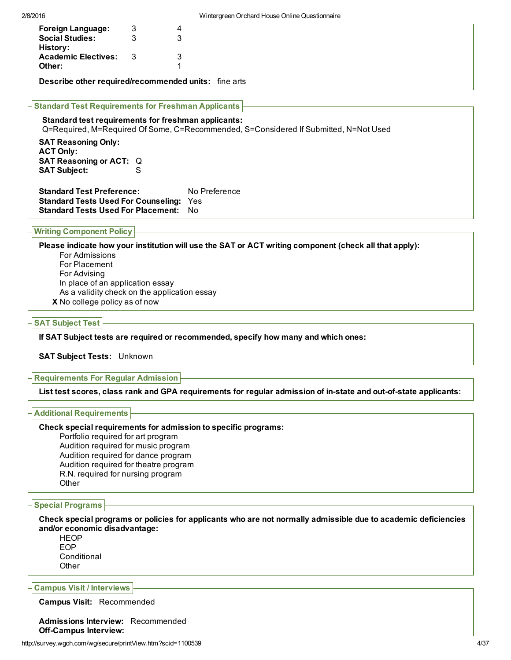| <b>Foreign Language:</b>                                                                                                                    | 3   |   |  |  |  |  |
|---------------------------------------------------------------------------------------------------------------------------------------------|-----|---|--|--|--|--|
| <b>Social Studies:</b>                                                                                                                      | 3   | 3 |  |  |  |  |
| History:                                                                                                                                    |     |   |  |  |  |  |
| <b>Academic Electives:</b>                                                                                                                  | - 3 | 3 |  |  |  |  |
| Other:                                                                                                                                      |     |   |  |  |  |  |
| <b>Describe other required/recommended units:</b> fine arts<br><b>Standard Test Requirements for Freshman Applicants</b>                    |     |   |  |  |  |  |
| Standard test requirements for freshman applicants:<br>Q=Required, M=Required Of Some, C=Recommended, S=Considered If Submitted, N=Not Used |     |   |  |  |  |  |
| <b>SAT Reasoning Only:</b><br><b>ACT Only:</b>                                                                                              |     |   |  |  |  |  |

SAT Reasoning or ACT: Q SAT Subject: S Standard Test Preference: No Preference Standard Tests Used For Counseling: Yes

Standard Tests Used For Placement: No

### Writing Component Policy

X No college policy as of now Please indicate how your institution will use the SAT or ACT writing component (check all that apply): For Admissions For Placement For Advising In place of an application essay As a validity check on the application essay

#### SAT Subject Test

If SAT Subject tests are required or recommended, specify how many and which ones:

SAT Subject Tests: Unknown

#### Requirements For Regular Admission

List test scores, class rank and GPA requirements for reqular admission of in-state and out-of-state applicants:

#### Additional Requirements

#### Check special requirements for admission to specific programs:

Portfolio required for art program Audition required for music program Audition required for dance program Audition required for theatre program R.N. required for nursing program **Other** 

### Special Programs

Check special programs or policies for applicants who are not normally admissible due to academic deficiencies and/or economic disadvantage:

**HEOP** EOP **Conditional Other** 

### Campus Visit / Interviews

Campus Visit: Recommended

Admissions Interview: Recommended Off-Campus Interview: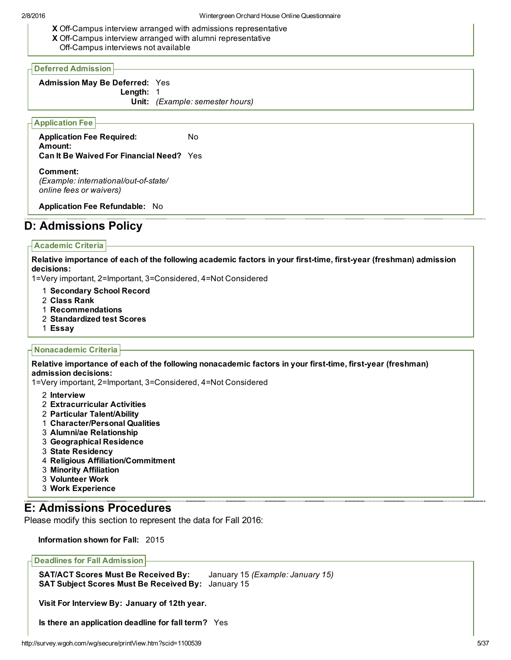X Off-Campus interview arranged with admissions representative X Off-Campus interview arranged with alumni representative

Off-Campus interviews not available

#### Deferred Admission

Admission May Be Deferred: Yes Length: 1 Unit: *(Example: semester hours)*

## Application Fee

Application Fee Required: No Amount: Can It Be Waived For Financial Need? Yes

Comment: *(Example: international/out-of-state/ online fees or waivers)*

Application Fee Refundable: No

# D: Admissions Policy

#### Academic Criteria

Relative importance of each of the following academic factors in your first-time, first-year (freshman) admission decisions:

1=Very important, 2=Important, 3=Considered, 4=Not Considered

- 1 Secondary School Record
- 2 Class Rank
- 1 Recommendations
- 2 Standardized test Scores
- 1 Essay

#### Nonacademic Criteria

Relative importance of each of the following nonacademic factors in your first-time, first-year (freshman) admission decisions:

1=Very important, 2=Important, 3=Considered, 4=Not Considered

- 2 Interview
- 2 Extracurricular Activities
- 2 Particular Talent/Ability
- 1 Character/Personal Qualities
- 3 Alumni/ae Relationship
- 3 Geographical Residence
- 3 State Residency
- 4 Religious Affiliation/Commitment
- 3 Minority Affiliation
- 3 Volunteer Work
- 3 Work Experience

# E: Admissions Procedures

Please modify this section to represent the data for Fall 2016:

Information shown for Fall: 2015

Deadlines for Fall Admission

SAT/ACT Scores Must Be Received By: January 15 *(Example: January 15)* SAT Subject Scores Must Be Received By: January 15

Visit For Interview By: January of 12th year.

Is there an application deadline for fall term? Yes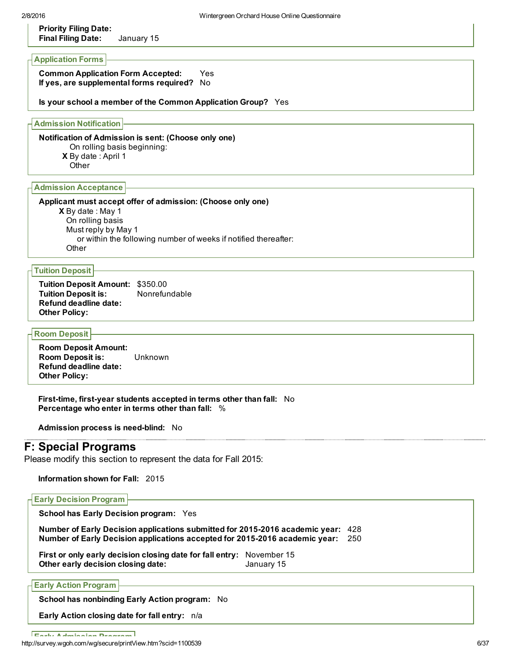## Priority Filing Date: Final Filing Date: January 15

## Application Forms

Common Application Form Accepted: Yes If yes, are supplemental forms required? No

#### Is your school a member of the Common Application Group? Yes

Admission Notification

X By date : April 1 Notification of Admission is sent: (Choose only one) On rolling basis beginning:

**Other** 

## Admission Acceptance

**X** By date : May 1 Applicant must accept offer of admission: (Choose only one) On rolling basis Must reply by May 1 or within the following number of weeks if notified thereafter: **Other** 

#### Tuition Deposit

Tuition Deposit Amount: \$350.00 Tuition Deposit is: Nonrefundable Refund deadline date: Other Policy:

## Room Deposit

Room Deposit Amount: Room Deposit is: Unknown Refund deadline date: Other Policy:

First-time, first-year students accepted in terms other than fall: No Percentage who enter in terms other than fall: %

Admission process is need-blind: No

## F: Special Programs

Please modify this section to represent the data for Fall 2015:

Information shown for Fall: 2015

#### Early Decision Program

School has Early Decision program: Yes

Number of Early Decision applications submitted for 2015-2016 academic year: 428 Number of Early Decision applications accepted for 20152016 academic year: 250

First or only early decision closing date for fall entry: November 15 Other early decision closing date: January 15

Early Action Program

School has nonbinding Early Action program: No

Early Action closing date for fall entry: n/a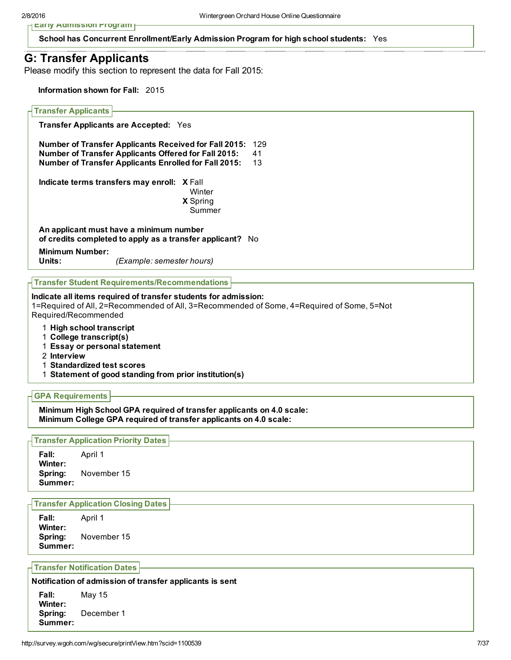**Early Admission Program** 

School has Concurrent Enrollment/Early Admission Program for high school students: Yes

## G: Transfer Applicants

Please modify this section to represent the data for Fall 2015:

Information shown for Fall: 2015

#### Transfer Applicants

Transfer Applicants are Accepted: Yes

Number of Transfer Applicants Received for Fall 2015: 129 Number of Transfer Applicants Offered for Fall 2015: 41 Number of Transfer Applicants Enrolled for Fall 2015: 13

Indicate terms transfers may enroll: X Fall

X Spring **Winter** 

Summer

An applicant must have a minimum number of credits completed to apply as a transfer applicant? No

**Minimum Number:**<br>Units:

*(Example: semester hours)* 

#### Transfer Student Requirements/Recommendations

#### Indicate all items required of transfer students for admission:

1=Required of All, 2=Recommended of All, 3=Recommended of Some, 4=Required of Some, 5=Not Required/Recommended

1 High school transcript

- 1 College transcript(s)
- 1 Essay or personal statement
- 2 Interview
- 1 Standardized test scores
- 1 Statement of good standing from prior institution(s)

#### GPA Requirements

Minimum High School GPA required of transfer applicants on 4.0 scale: Minimum College GPA required of transfer applicants on 4.0 scale:

#### Transfer Application Priority Dates

Fall: April 1 Winter: Spring: November 15 Summer:

#### Transfer Application Closing Dates

Fall: April 1 Winter: Spring: November 15 Summer:

Transfer Notification Dates

#### Notification of admission of transfer applicants is sent

| Fall:                         | May 15     |
|-------------------------------|------------|
| Winter:<br>Spring:<br>Summer: | December 1 |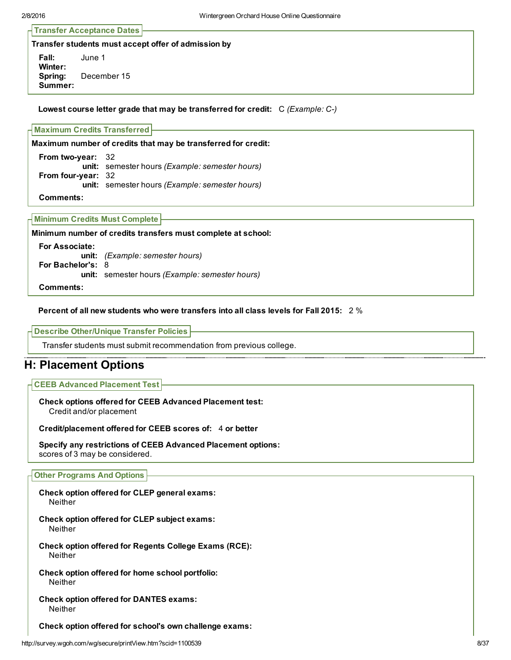Transfer Acceptance Dates

Transfer students must accept offer of admission by

Fall: June 1 Winter: Spring: December 15 Summer:

Lowest course letter grade that may be transferred for credit: C *(Example: C)*

#### Maximum Credits Transferred

Maximum number of credits that may be transferred for credit:

From two-year: 32 unit: semester hours *(Example: semester hours)* From four-year: 32 unit: semester hours *(Example: semester hours)* Comments:

|  |  |  | Minimum Credits Must Complete  - |  |
|--|--|--|----------------------------------|--|
|--|--|--|----------------------------------|--|

Minimum number of credits transfers must complete at school:

For Associate: unit: *(Example: semester hours)* For Bachelor's: 8 unit: semester hours *(Example: semester hours)* Comments:

#### Percent of all new students who were transfers into all class levels for Fall 2015: 2 %

Describe Other/Unique Transfer Policies

Transfer students must submit recommendation from previous college.

## H: Placement Options

#### CEEB Advanced Placement Test

Check options offered for CEEB Advanced Placement test: Credit and/or placement

Credit/placement offered for CEEB scores of: 4 or better

Specify any restrictions of CEEB Advanced Placement options: scores of 3 may be considered.

#### Other Programs And Options

- Check option offered for CLEP general exams: Neither
- Check option offered for CLEP subject exams: Neither
- Check option offered for Regents College Exams (RCE): Neither
- Check option offered for home school portfolio: Neither
- Check option offered for DANTES exams: Neither

Check option offered for school's own challenge exams: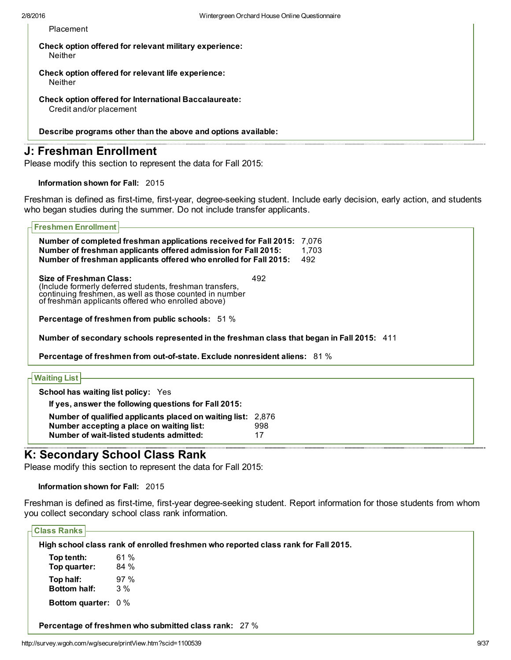Placement

Check option offered for relevant military experience: Neither

Check option offered for relevant life experience: **Neither** 

Check option offered for International Baccalaureate: Credit and/or placement

Describe programs other than the above and options available:

## J: Freshman Enrollment

Please modify this section to represent the data for Fall 2015:

Information shown for Fall: 2015

Freshman is defined as first-time, first-year, degree-seeking student. Include early decision, early action, and students who began studies during the summer. Do not include transfer applicants.

| <b>Freshmen Enrollment</b>                                                                                                                                                                               |                       |
|----------------------------------------------------------------------------------------------------------------------------------------------------------------------------------------------------------|-----------------------|
| Number of completed freshman applications received for Fall 2015:<br>Number of freshman applicants offered admission for Fall 2015:<br>Number of freshman applicants offered who enrolled for Fall 2015: | 7,076<br>1,703<br>492 |
| Size of Freshman Class:<br>(Include formerly deferred students, freshman transfers,<br>continuing freshmen, as well as those counted in number<br>of freshman applicants offered who enrolled above)     | 492                   |
| <b>Percentage of freshmen from public schools:</b> 51 %                                                                                                                                                  |                       |
| Number of secondary schools represented in the freshman class that began in Fall 2015: 411<br>Percentage of freshmen from out-of-state. Exclude nonresident aliens: 81 %                                 |                       |
|                                                                                                                                                                                                          |                       |
| <b>Waiting List</b>                                                                                                                                                                                      |                       |
| <b>School has waiting list policy: Yes</b>                                                                                                                                                               |                       |
| If yes, answer the following questions for Fall 2015:                                                                                                                                                    |                       |
| Number of qualified applicants placed on waiting list:<br>Number accepting a place on waiting list:                                                                                                      | 2.876<br>998          |

## K: Secondary School Class Rank

Please modify this section to represent the data for Fall 2015:

Number of wait-listed students admitted: 17

Information shown for Fall: 2015

Freshman is defined as first-time, first-year degree-seeking student. Report information for those students from whom you collect secondary school class rank information.

Class Ranks

|              | High school class rank of enrolled freshmen who reported class rank for Fall 2015. |
|--------------|------------------------------------------------------------------------------------|
| Top tenth:   | 61 %                                                                               |
| Top quarter: | 84 %                                                                               |

Top half: 97 % Bottom half: 3 % Bottom quarter: 0 %

Percentage of freshmen who submitted class rank: 27 %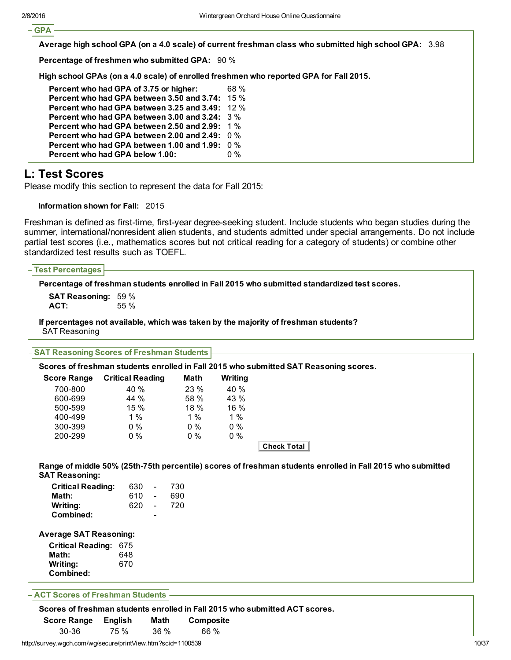**GPA** 

Average high school GPA (on a 4.0 scale) of current freshman class who submitted high school GPA: 3.98

Percentage of freshmen who submitted GPA: 90 %

High school GPAs (on a 4.0 scale) of enrolled freshmen who reported GPA for Fall 2015.

| Percent who had GPA of 3.75 or higher:             | 68 %  |
|----------------------------------------------------|-------|
| Percent who had GPA between 3.50 and 3.74: $-15\%$ |       |
| Percent who had GPA between 3.25 and 3.49: $12\%$  |       |
| Percent who had GPA between 3.00 and 3.24: $3\%$   |       |
| Percent who had GPA between 2.50 and 2.99: 1%      |       |
| Percent who had GPA between 2.00 and 2.49: $-0\%$  |       |
| Percent who had GPA between 1.00 and 1.99:         | . በ % |
| Percent who had GPA below 1.00:                    | በ %   |
|                                                    |       |

# L: Test Scores

Please modify this section to represent the data for Fall 2015:

#### Information shown for Fall: 2015

Freshman is defined as first-time, first-year degree-seeking student. Include students who began studies during the summer, international/nonresident alien students, and students admitted under special arrangements. Do not include partial test scores (i.e., mathematics scores but not critical reading for a category of students) or combine other standardized test results such as TOEFL.

|                                                  |                         |       | Percentage of freshman students enrolled in Fall 2015 who submitted standardized test scores.              |  |
|--------------------------------------------------|-------------------------|-------|------------------------------------------------------------------------------------------------------------|--|
| <b>SAT Reasoning: 59 %</b><br>ACT:               | 55 %                    |       |                                                                                                            |  |
|                                                  |                         |       |                                                                                                            |  |
| <b>SAT Reasoning</b>                             |                         |       | If percentages not available, which was taken by the majority of freshman students?                        |  |
| <b>SAT Reasoning Scores of Freshman Students</b> |                         |       |                                                                                                            |  |
|                                                  |                         |       | Scores of freshman students enrolled in Fall 2015 who submitted SAT Reasoning scores.                      |  |
| <b>Score Range</b>                               | <b>Critical Reading</b> | Math  | Writing                                                                                                    |  |
| 700-800                                          | 40 %                    | 23 %  | 40 %                                                                                                       |  |
| 600-699                                          | 44 %                    | 58 %  | 43 %                                                                                                       |  |
| 500-599                                          | 15 %                    | 18 %  | 16 %                                                                                                       |  |
| 400-499                                          | 1%                      | 1%    | 1%                                                                                                         |  |
| 300-399                                          | $0\%$                   | $0\%$ | $0\%$                                                                                                      |  |
| 200-299                                          | $0\%$                   | $0\%$ | 0%                                                                                                         |  |
|                                                  |                         |       | <b>Check Total</b>                                                                                         |  |
|                                                  |                         |       |                                                                                                            |  |
| <b>SAT Reasoning:</b>                            |                         |       | Range of middle 50% (25th-75th percentile) scores of freshman students enrolled in Fall 2015 who submitted |  |
| <b>Critical Reading:</b>                         | 630<br>$\blacksquare$   | 730   |                                                                                                            |  |
| Math:                                            | 610<br>$\sim$           | 690   |                                                                                                            |  |
| Writing:                                         | 620<br>$\sim$           | 720   |                                                                                                            |  |
| Combined:                                        |                         |       |                                                                                                            |  |
| <b>Average SAT Reasoning:</b>                    |                         |       |                                                                                                            |  |
| <b>Critical Reading: 675</b>                     |                         |       |                                                                                                            |  |
| Math:                                            | 648                     |       |                                                                                                            |  |
| Writing:                                         | 670                     |       |                                                                                                            |  |

Score Range English Math Composite 3036 75 % 36 % 66 %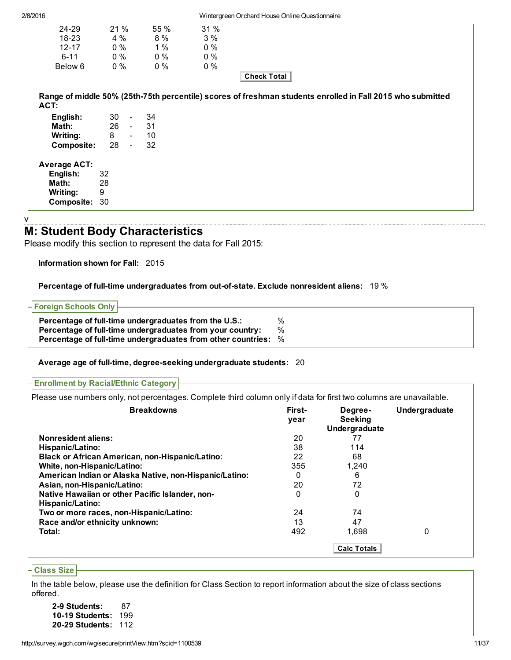| 2/8/2016                                           |                                             |                                     |                                       | Wintergreen Orchard House Online Questionnaire                                                             |
|----------------------------------------------------|---------------------------------------------|-------------------------------------|---------------------------------------|------------------------------------------------------------------------------------------------------------|
| 24-29<br>18-23<br>$12 - 17$<br>$6 - 11$<br>Below 6 | 21 %<br>4 %<br>$0\%$<br>$0\%$<br>$0\%$      | 55 %<br>8 %<br>1%<br>$0\%$<br>$0\%$ | 31 %<br>3%<br>$0\%$<br>$0\%$<br>$0\%$ | <b>Check Total</b>                                                                                         |
| ACT:                                               |                                             |                                     |                                       | Range of middle 50% (25th-75th percentile) scores of freshman students enrolled in Fall 2015 who submitted |
| English:<br>Math:<br>Writing:<br>Composite:        | 30<br>$\sim$<br>$26 -$<br>8<br>28<br>$\sim$ | 34<br>31<br>10<br>$\sim 100$<br>32  |                                       |                                                                                                            |
|                                                    |                                             |                                     |                                       |                                                                                                            |

## M: Student Body Characteristics

Please modify this section to represent the data for Fall 2015:

Information shown for Fall: 2015

Percentage of full-time undergraduates from out-of-state. Exclude nonresident aliens: 19 %

| $\overline{\phantom{a}}$ Foreign Schools Only $\overline{\phantom{a}}$ |      |
|------------------------------------------------------------------------|------|
| Percentage of full-time undergraduates from the U.S.:                  | $\%$ |
| Percentage of full-time undergraduates from your country:              | $\%$ |
| Percentage of full-time undergraduates from other countries: %         |      |

#### Average age of full-time, degree-seeking undergraduate students: 20

Enrollment by Racial/Ethnic Category

Please use numbers only, not percentages. Complete third column only if data for first two columns are unavailable.

| <b>Breakdowns</b>                                                   | First-<br>year | Degree-<br><b>Seeking</b><br>Undergraduate | Undergraduate |
|---------------------------------------------------------------------|----------------|--------------------------------------------|---------------|
| <b>Nonresident aliens:</b>                                          | 20             | 77                                         |               |
| Hispanic/Latino:                                                    | 38             | 114                                        |               |
| <b>Black or African American, non-Hispanic/Latino:</b>              | 22             | 68                                         |               |
| White, non-Hispanic/Latino:                                         | 355            | 1.240                                      |               |
| American Indian or Alaska Native, non-Hispanic/Latino:              | 0              | 6                                          |               |
| Asian, non-Hispanic/Latino:                                         | 20             | 72                                         |               |
| Native Hawaiian or other Pacific Islander, non-<br>Hispanic/Latino: | 0              | 0                                          |               |
| Two or more races, non-Hispanic/Latino:                             | 24             | 74                                         |               |
| Race and/or ethnicity unknown:                                      | 13             | 47                                         |               |
| Total:                                                              | 492            | 1,698                                      | 0             |
|                                                                     |                | <b>Calc Totals</b>                         |               |

#### Class Size

In the table below, please use the definition for Class Section to report information about the size of class sections offered.

29 Students: 87 10-19 Students: 199 2029 Students: 112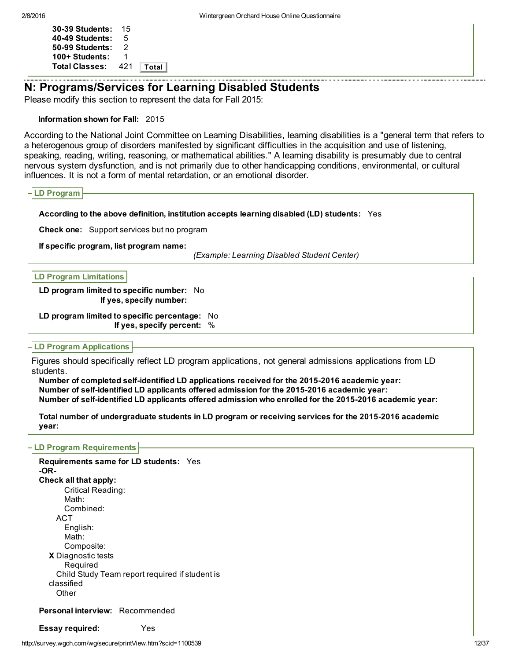| 30-39 Students:       | 15  |       |
|-----------------------|-----|-------|
| 40-49 Students:       | 5   |       |
| 50-99 Students:       | 2   |       |
| 100+ Students:        | 1   |       |
| <b>Total Classes:</b> | 421 | Total |

## N: Programs/Services for Learning Disabled Students

Please modify this section to represent the data for Fall 2015:

## Information shown for Fall: 2015

According to the National Joint Committee on Learning Disabilities, learning disabilities is a "general term that refers to a heterogenous group of disorders manifested by significant difficulties in the acquisition and use of listening, speaking, reading, writing, reasoning, or mathematical abilities." A learning disability is presumably due to central nervous system dysfunction, and is not primarily due to other handicapping conditions, environmental, or cultural influences. It is not a form of mental retardation, or an emotional disorder.

```
LD Program
```
## According to the above definition, institution accepts learning disabled (LD) students: Yes

Check one: Support services but no program

If specific program, list program name:

*(Example: Learning Disabled Student Center)*

LD Program Limitations

LD program limited to specific number: No If yes, specify number:

LD program limited to specific percentage: No If yes, specify percent: %

## LD Program Applications

Figures should specifically reflect LD program applications, not general admissions applications from LD students.

Number of completed self-identified LD applications received for the 2015-2016 academic year: Number of self-identified LD applicants offered admission for the 2015-2016 academic year: Number of self-identified LD applicants offered admission who enrolled for the 2015-2016 academic year:

Total number of undergraduate students in LD program or receiving services for the 2015-2016 academic year:

LD Program Requirements

X Diagnostic tests Requirements same for LD students: Yes OR-Check all that apply: Critical Reading: Math: Combined: ACT English: Math: Composite: Required Child Study Team report required if student is classified **Other** Personal interview: Recommended Essay required: Yes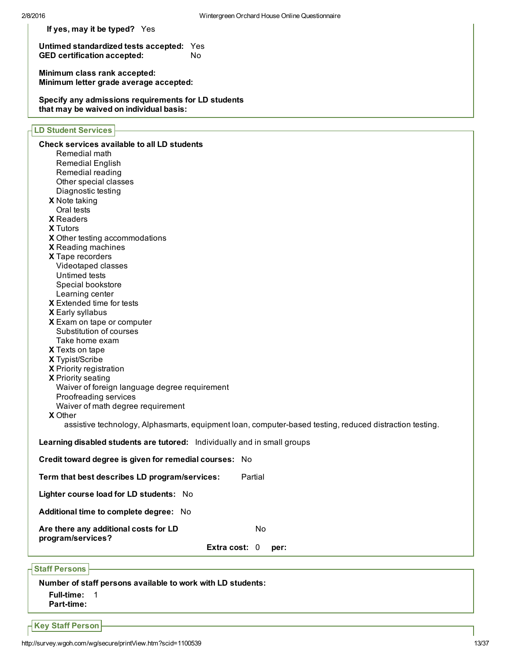| If yes, may it be typed? Yes |
|------------------------------|
|------------------------------|

Untimed standardized tests accepted: Yes<br>GED certification accepted: No GED certification accepted:

Minimum class rank accepted: Minimum letter grade average accepted:

Specify any admissions requirements for LD students that may be waived on individual basis:

## LD Student Services

| Check services available to all LD students                                                             |
|---------------------------------------------------------------------------------------------------------|
| Remedial math                                                                                           |
| <b>Remedial English</b>                                                                                 |
| Remedial reading                                                                                        |
| Other special classes                                                                                   |
| Diagnostic testing                                                                                      |
| X Note taking                                                                                           |
| Oral tests                                                                                              |
| <b>X</b> Readers                                                                                        |
| <b>X</b> Tutors                                                                                         |
| X Other testing accommodations                                                                          |
| X Reading machines                                                                                      |
| X Tape recorders                                                                                        |
| Videotaped classes                                                                                      |
| Untimed tests                                                                                           |
| Special bookstore                                                                                       |
| Learning center                                                                                         |
| X Extended time for tests                                                                               |
| X Early syllabus                                                                                        |
| X Exam on tape or computer                                                                              |
| Substitution of courses                                                                                 |
| Take home exam                                                                                          |
| X Texts on tape                                                                                         |
| X Typist/Scribe                                                                                         |
| X Priority registration                                                                                 |
| X Priority seating                                                                                      |
| Waiver of foreign language degree requirement                                                           |
| Proofreading services                                                                                   |
| Waiver of math degree requirement                                                                       |
| <b>X</b> Other                                                                                          |
| assistive technology, Alphasmarts, equipment loan, computer-based testing, reduced distraction testing. |
| Learning disabled students are tutored: Individually and in small groups                                |
| Credit toward degree is given for remedial courses: No                                                  |
| Partial<br>Term that best describes LD program/services:                                                |
| Lighter course load for LD students: No                                                                 |
| Additional time to complete degree: No                                                                  |
| Are there any additional costs for LD<br>No<br>program/services?                                        |
| Extra cost: 0<br>per:                                                                                   |
|                                                                                                         |
| <b>Staff Persons</b>                                                                                    |

Number of staff persons available to work with LD students:

- Full-time: 1
- Part-time:

 $\overline{\phantom{a}}$  Key Staff Person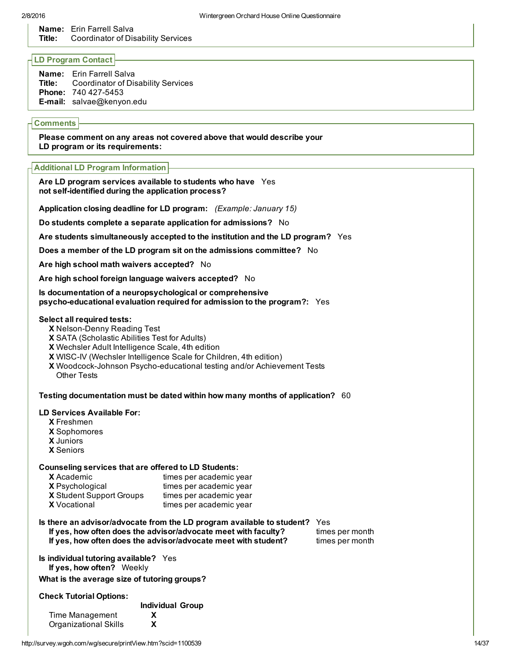Name: Erin Farrell Salva Title: Coordinator of Disability Services

## LD Program Contact

Name: Erin Farrell Salva Title: Coordinator of Disability Services Phone: 740 427-5453 E-mail: salvae@kenyon.edu

## **Comments**

Please comment on any areas not covered above that would describe your LD program or its requirements:

#### Additional LD Program Information

#### Are LD program services available to students who have Yes not self-identified during the application process?

Application closing deadline for LD program: *(Example: January 15)*

Do students complete a separate application for admissions? No

Are students simultaneously accepted to the institution and the LD program? Yes

Does a member of the LD program sit on the admissions committee? No

Are high school math waivers accepted? No

Are high school foreign language waivers accepted? No

Is documentation of a neuropsychological or comprehensive psycho-educational evaluation required for admission to the program?: Yes

#### Select all required tests:

- X Nelson-Denny Reading Test
- X SATA (Scholastic Abilities Test for Adults)
- X Wechsler Adult Intelligence Scale, 4th edition
- X WISCIV (Wechsler Intelligence Scale for Children, 4th edition)
- X Woodcock-Johnson Psycho-educational testing and/or Achievement Tests Other Tests

Testing documentation must be dated within how many months of application? 60

#### LD Services Available For:

- X Freshmen
- X Sophomores
- X Juniors
- X Seniors

#### Counseling services that are offered to LD Students:

| <b>X</b> Academic               | times per academic year |
|---------------------------------|-------------------------|
| <b>X</b> Psychological          | times per academic year |
| <b>X</b> Student Support Groups | times per academic year |
| <b>X</b> Vocational             | times per academic year |

#### Is there an advisor/advocate from the LD program available to student? Yes If yes, how often does the advisor/advocate meet with faculty? times per month

If yes, how often does the advisor/advocate meet with student? times per month

Is individual tutoring available? Yes If yes, how often? Weekly

What is the average size of tutoring groups?

#### Check Tutorial Options:

Individual Group

| Time Management       |   |
|-----------------------|---|
| Organizational Skills | X |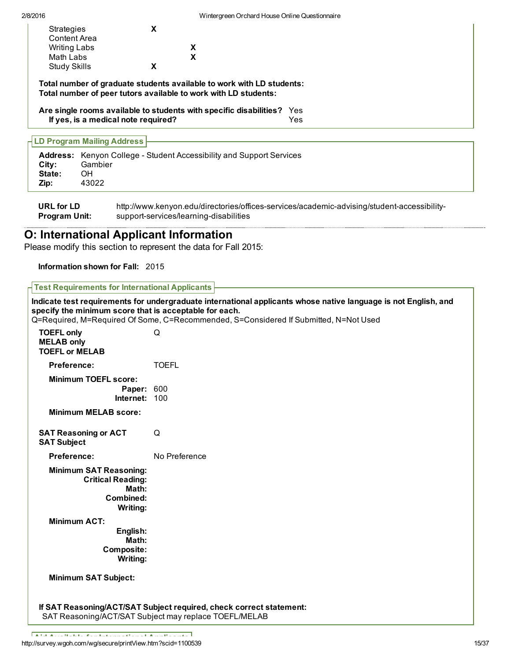| Strategies<br><b>Content Area</b> | x |   |
|-----------------------------------|---|---|
| <b>Writing Labs</b>               |   | x |
| Math Labs                         |   | x |
| <b>Study Skills</b>               | X |   |

Total number of graduate students available to work with LD students: Total number of peer tutors available to work with LD students:

Are single rooms available to students with specific disabilities? Yes If yes, is a medical note required? Yes

## LD Program Mailing Address

| City:<br>State:<br>Zip: | <b>Address:</b> Kenyon College - Student Accessibility and Support Services<br>Gambier<br><b>OH</b><br>43022 |
|-------------------------|--------------------------------------------------------------------------------------------------------------|
| .                       | .<br>                                                                                                        |

URL for LD Program Unit: http://www.kenyon.edu/directories/offices-services/academic-advising/student-accessibilitysupport-services/learning-disabilities

## O: International Applicant Information

Please modify this section to represent the data for Fall 2015:

## Information shown for Fall: 2015

## Test Requirements for International Applicants

Indicate test requirements for undergraduate international applicants whose native language is not English, and specify the minimum score that is acceptable for each. Q=Required, M=Required Of Some, C=Recommended, S=Considered If Submitted, N=Not Used TOEFL only Games Canada Canada Canada Canada Canada Canada Canada Canada Canada Canada Canada Canada Canada Ca MELAB only TOEFL or MELAB Preference: TOEFL Minimum TOEFL score: Paper: 600 Internet: 100 Minimum MELAB score: SAT Reasoning or ACT Q SAT Subject Preference: No Preference Minimum SAT Reasoning: Critical Reading: Math: Combined: Writing: Minimum ACT: English: Math: Composite: Writing: Minimum SAT Subject: If SAT Reasoning/ACT/SAT Subject required, check correct statement: SAT Reasoning/ACT/SAT Subject may replace TOEFL/MELAB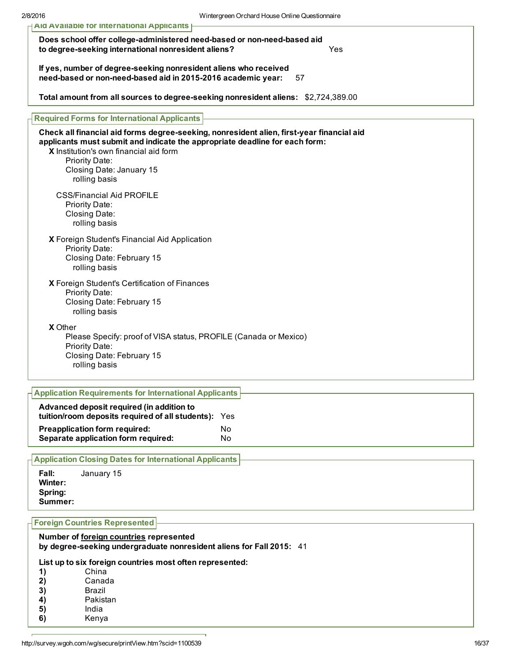| AID AVAIIADIE TOT INTERNATIONAL APPIICANTS                                                                                                                                                                                                                                        |  |  |  |
|-----------------------------------------------------------------------------------------------------------------------------------------------------------------------------------------------------------------------------------------------------------------------------------|--|--|--|
| Does school offer college-administered need-based or non-need-based aid<br>to degree-seeking international nonresident aliens?<br>Yes<br>If yes, number of degree-seeking nonresident aliens who received<br>need-based or non-need-based aid in 2015-2016 academic year:<br>57   |  |  |  |
|                                                                                                                                                                                                                                                                                   |  |  |  |
| <b>Required Forms for International Applicants</b>                                                                                                                                                                                                                                |  |  |  |
| Check all financial aid forms degree-seeking, nonresident alien, first-year financial aid<br>applicants must submit and indicate the appropriate deadline for each form:<br>X Institution's own financial aid form<br>Priority Date:<br>Closing Date: January 15<br>rolling basis |  |  |  |
| <b>CSS/Financial Aid PROFILE</b><br>Priority Date:<br>Closing Date:<br>rolling basis                                                                                                                                                                                              |  |  |  |
| X Foreign Student's Financial Aid Application<br>Priority Date:<br>Closing Date: February 15<br>rolling basis                                                                                                                                                                     |  |  |  |
| X Foreign Student's Certification of Finances<br>Priority Date:<br>Closing Date: February 15<br>rolling basis                                                                                                                                                                     |  |  |  |
| <b>X</b> Other<br>Please Specify: proof of VISA status, PROFILE (Canada or Mexico)<br>Priority Date:<br>Closing Date: February 15<br>rolling basis                                                                                                                                |  |  |  |
| <b>Application Requirements for International Applicants</b>                                                                                                                                                                                                                      |  |  |  |
| Advanced deposit required (in addition to<br>tuition/room deposits required of all students): Yes                                                                                                                                                                                 |  |  |  |
| <b>Preapplication form required:</b><br>No<br>Separate application form required:<br>No                                                                                                                                                                                           |  |  |  |

Application Closing Dates for International Applicants

Fall: January 15 Winter: Spring: Summer:

## Foreign Countries Represented

#### Number of foreign countries represented by degree-seeking undergraduate nonresident aliens for Fall 2015: 41

## List up to six foreign countries most often represented:

| China    |
|----------|
| Canada   |
| Brazil   |
| Pakistan |
| India    |
| Kenya    |
|          |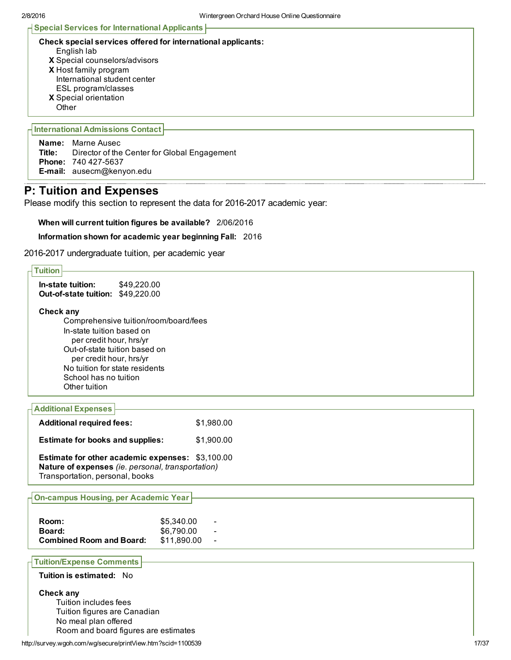#### Special Services for International Applicants

| Check special services offered for international applicants: |  |  |
|--------------------------------------------------------------|--|--|
|--------------------------------------------------------------|--|--|

- English lab
- X Special counselors/advisors
- X Host family program International student center
- ESL program/classes
- X Special orientation
- **Other**

## International Admissions Contact

Name: Marne Ausec Title: Director of the Center for Global Engagement Phone: 740 427-5637 E-mail: ausecm@kenyon.edu

## P: Tuition and Expenses

Please modify this section to represent the data for 2016-2017 academic year:

When will current tuition figures be available? 2/06/2016

Information shown for academic year beginning Fall: 2016

2016-2017 undergraduate tuition, per academic year

| <b>Tuition</b>                                                        |             |  |
|-----------------------------------------------------------------------|-------------|--|
| In-state tuition:<br>\$49,220.00<br>Out-of-state tuition: \$49,220.00 |             |  |
| Check any                                                             |             |  |
| Comprehensive tuition/room/board/fees                                 |             |  |
| In-state tuition based on                                             |             |  |
| per credit hour, hrs/yr                                               |             |  |
| Out-of-state tuition based on                                         |             |  |
| per credit hour, hrs/yr                                               |             |  |
| No tuition for state residents<br>School has no tuition               |             |  |
| Other tuition                                                         |             |  |
|                                                                       |             |  |
| <b>Additional Expenses</b>                                            |             |  |
| <b>Additional required fees:</b>                                      | \$1,980.00  |  |
|                                                                       |             |  |
| <b>Estimate for books and supplies:</b>                               | \$1,900.00  |  |
| Estimate for other academic expenses: \$3,100.00                      |             |  |
| Nature of expenses (ie. personal, transportation)                     |             |  |
| Transportation, personal, books                                       |             |  |
|                                                                       |             |  |
| <b>On-campus Housing, per Academic Year</b>                           |             |  |
|                                                                       |             |  |
| Room:                                                                 | \$5,340.00  |  |
| Board:                                                                | \$6,790.00  |  |
| <b>Combined Room and Board:</b>                                       | \$11,890.00 |  |
| <b>Tuition/Expense Comments</b>                                       |             |  |
| Tuition is estimated: No                                              |             |  |
|                                                                       |             |  |
| Check any                                                             |             |  |
| Tuition includes fees                                                 |             |  |
| Tuition figures are Canadian                                          |             |  |
| No meal plan offered                                                  |             |  |
| Room and board figures are estimates                                  |             |  |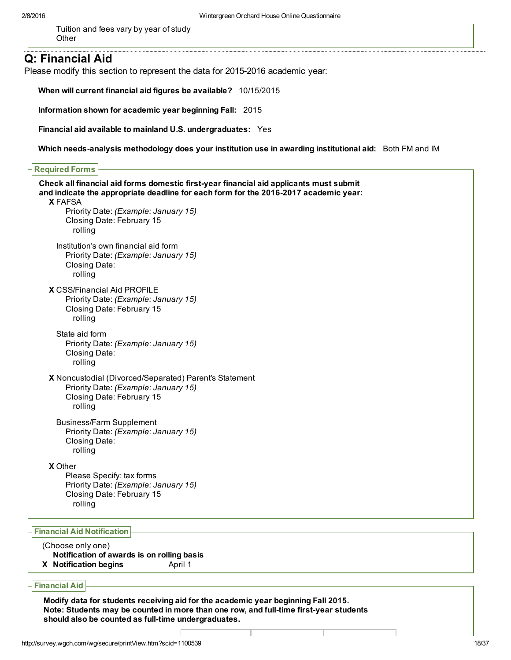Tuition and fees vary by year of study **Other** 

## Q: Financial Aid

Please modify this section to represent the data for 2015-2016 academic year:

When will current financial aid figures be available? 10/15/2015

Information shown for academic year beginning Fall: 2015

Financial aid available to mainland U.S. undergraduates: Yes

Which needs-analysis methodology does your institution use in awarding institutional aid: Both FM and IM

| Check all financial aid forms domestic first-year financial aid applicants must submit<br>and indicate the appropriate deadline for each form for the 2016-2017 academic year:<br><b>X FAFSA</b><br>Priority Date: (Example: January 15)<br>Closing Date: February 15<br>rolling |  |
|----------------------------------------------------------------------------------------------------------------------------------------------------------------------------------------------------------------------------------------------------------------------------------|--|
| Institution's own financial aid form<br>Priority Date: (Example: January 15)<br>Closing Date:<br>rolling                                                                                                                                                                         |  |
| <b>X</b> CSS/Financial Aid PROFILE<br>Priority Date: (Example: January 15)<br>Closing Date: February 15<br>rolling                                                                                                                                                               |  |
| State aid form<br>Priority Date: (Example: January 15)<br>Closing Date:<br>rolling                                                                                                                                                                                               |  |
| X Noncustodial (Divorced/Separated) Parent's Statement<br>Priority Date: (Example: January 15)<br>Closing Date: February 15<br>rolling                                                                                                                                           |  |
| <b>Business/Farm Supplement</b><br>Priority Date: (Example: January 15)<br>Closing Date:<br>rolling                                                                                                                                                                              |  |
| <b>X</b> Other<br>Please Specify: tax forms<br>Priority Date: (Example: January 15)<br>Closing Date: February 15<br>rolling                                                                                                                                                      |  |

#### Financial Aid Notification

- (Choose only one) Notification of awards is on rolling basis
- X Notification begins April 1

Financial Aid

Modify data for students receiving aid for the academic year beginning Fall 2015. Note: Students may be counted in more than one row, and full-time first-year students should also be counted as full-time undergraduates.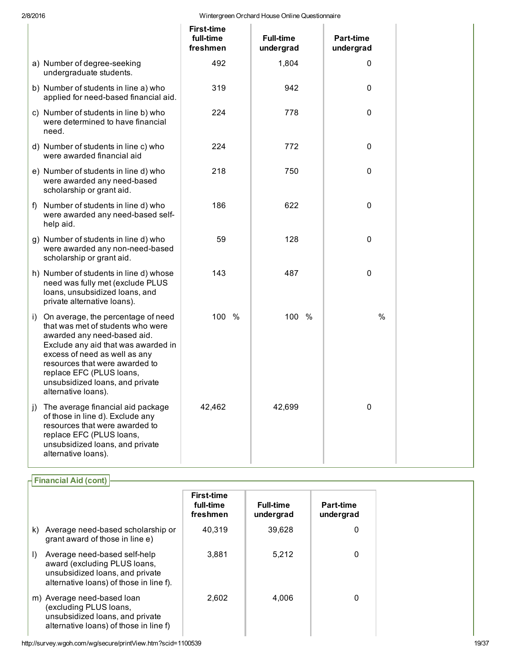#### 2/8/2016 Wintergreen Orchard House Online Questionnaire

|                                                              |                                                                                                                                                                                                                                                     | <b>First-time</b><br>full-time<br>freshmen | <b>Full-time</b><br>undergrad | Part-time<br>undergrad |
|--------------------------------------------------------------|-----------------------------------------------------------------------------------------------------------------------------------------------------------------------------------------------------------------------------------------------------|--------------------------------------------|-------------------------------|------------------------|
| a) Number of degree-seeking<br>undergraduate students.       |                                                                                                                                                                                                                                                     | 492                                        | 1,804                         | 0                      |
|                                                              | b) Number of students in line a) who<br>applied for need-based financial aid.                                                                                                                                                                       | 319                                        | 942                           | 0                      |
| need.                                                        | c) Number of students in line b) who<br>were determined to have financial                                                                                                                                                                           | 224                                        | 778                           | 0                      |
| were awarded financial aid                                   | d) Number of students in line c) who                                                                                                                                                                                                                | 224                                        | 772                           | 0                      |
| scholarship or grant aid.                                    | e) Number of students in line d) who<br>were awarded any need-based                                                                                                                                                                                 | 218                                        | 750                           | 0                      |
| f)<br>help aid.                                              | Number of students in line d) who<br>were awarded any need-based self-                                                                                                                                                                              | 186                                        | 622                           | 0                      |
| scholarship or grant aid.                                    | g) Number of students in line d) who<br>were awarded any non-need-based                                                                                                                                                                             | 59                                         | 128                           | $\pmb{0}$              |
| private alternative loans).                                  | h) Number of students in line d) whose<br>need was fully met (exclude PLUS<br>loans, unsubsidized loans, and                                                                                                                                        | 143                                        | 487                           | 0                      |
| i)<br>replace EFC (PLUS loans,<br>alternative loans).        | On average, the percentage of need<br>that was met of students who were<br>awarded any need-based aid.<br>Exclude any aid that was awarded in<br>excess of need as well as any<br>resources that were awarded to<br>unsubsidized loans, and private | 100 %                                      | 100 %                         | %                      |
| $\vert$ )<br>replace EFC (PLUS loans,<br>alternative loans). | The average financial aid package<br>of those in line d). Exclude any<br>resources that were awarded to<br>unsubsidized loans, and private                                                                                                          | 42,462                                     | 42,699                        | 0                      |

|         | <b>Financial Aid (cont)</b>                                                                                                                |                                            |                               |                               |
|---------|--------------------------------------------------------------------------------------------------------------------------------------------|--------------------------------------------|-------------------------------|-------------------------------|
|         |                                                                                                                                            | <b>First-time</b><br>full-time<br>freshmen | <b>Full-time</b><br>undergrad | <b>Part-time</b><br>undergrad |
| k)      | Average need-based scholarship or<br>grant award of those in line e)                                                                       | 40.319                                     | 39.628                        | 0                             |
| $\vert$ | Average need-based self-help<br>award (excluding PLUS loans,<br>unsubsidized loans, and private<br>alternative loans) of those in line f). | 3,881                                      | 5.212                         | 0                             |
|         | m) Average need-based loan<br>(excluding PLUS loans,<br>unsubsidized loans, and private<br>alternative loans) of those in line f)          | 2,602                                      | 4,006                         | 0                             |

http://survey.wgoh.com/wg/secure/printView.htm?scid=1100539 19/37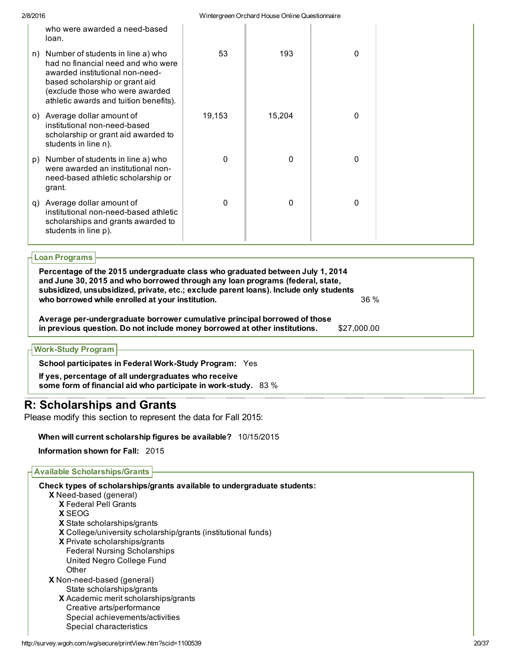| 2/8/2016 |                                                                                                                                                                                                                           |          | Wintergreen Orchard House Online Questionnaire |   |  |
|----------|---------------------------------------------------------------------------------------------------------------------------------------------------------------------------------------------------------------------------|----------|------------------------------------------------|---|--|
|          | who were awarded a need-based<br>loan.                                                                                                                                                                                    |          |                                                |   |  |
| n)       | Number of students in line a) who<br>had no financial need and who were<br>awarded institutional non-need-<br>based scholarship or grant aid<br>(exclude those who were awarded<br>athletic awards and tuition benefits). | 53       | 193                                            | 0 |  |
| O()      | Average dollar amount of<br>institutional non-need-based<br>scholarship or grant aid awarded to<br>students in line n).                                                                                                   | 19,153   | 15,204                                         | 0 |  |
| p)       | Number of students in line a) who<br>were awarded an institutional non-<br>need-based athletic scholarship or<br>grant.                                                                                                   | $\Omega$ | 0                                              | 0 |  |
| q)       | Average dollar amount of<br>institutional non-need-based athletic<br>scholarships and grants awarded to<br>students in line p).                                                                                           | $\Omega$ | 0                                              | 0 |  |
|          |                                                                                                                                                                                                                           |          |                                                |   |  |

## Loan Programs

| Percentage of the 2015 undergraduate class who graduated between July 1, 2014<br>and June 30, 2015 and who borrowed through any loan programs (federal, state,<br>subsidized, unsubsidized, private, etc.; exclude parent loans). Include only students |             |  |
|---------------------------------------------------------------------------------------------------------------------------------------------------------------------------------------------------------------------------------------------------------|-------------|--|
| who borrowed while enrolled at your institution.                                                                                                                                                                                                        | 36 %        |  |
| Average per-undergraduate borrower cumulative principal borrowed of those<br>in previous question. Do not include money borrowed at other institutions.                                                                                                 | \$27,000.00 |  |
| <b>Work-Study Program</b>                                                                                                                                                                                                                               |             |  |

School participates in Federal Work-Study Program: Yes

If yes, percentage of all undergraduates who receive some form of financial aid who participate in work-study. 83 %

## R: Scholarships and Grants

Please modify this section to represent the data for Fall 2015:

## When will current scholarship figures be available? 10/15/2015

Information shown for Fall: 2015

## Available Scholarships/Grants

X Need-based (general) X Federal Pell Grants X SEOG X State scholarships/grants X College/university scholarship/grants (institutional funds) X Private scholarships/grants X Non-need-based (general) X Academic merit scholarships/grants Check types of scholarships/grants available to undergraduate students: Federal Nursing Scholarships United Negro College Fund **Other** State scholarships/grants Creative arts/performance Special achievements/activities Special characteristics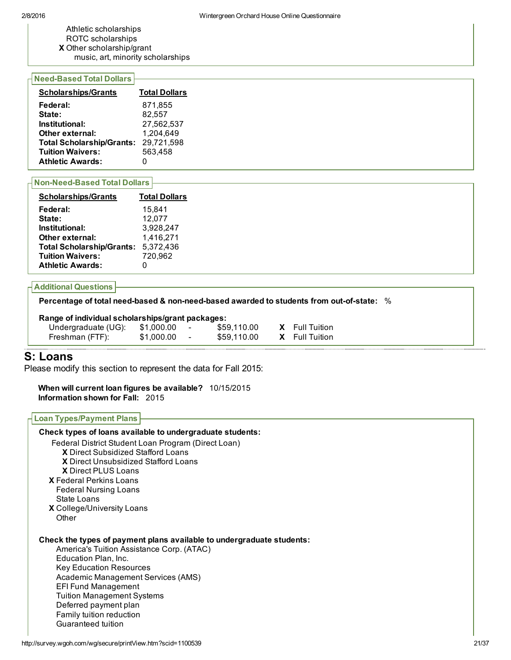- Athletic scholarships
- ROTC scholarships
- X Other scholarship/grant
- music, art, minority scholarships

## **Need-Based Total Dollars**

| <b>Scholarships/Grants</b>       | <b>Total Dollars</b> |
|----------------------------------|----------------------|
| Federal:                         | 871.855              |
| State:                           | 82,557               |
| Institutional:                   | 27,562,537           |
| Other external:                  | 1,204,649            |
| <b>Total Scholarship/Grants:</b> | 29,721,598           |
| <b>Tuition Waivers:</b>          | 563,458              |
| <b>Athletic Awards:</b>          |                      |
|                                  |                      |

## **Non-Need-Based Total Dollars**

| <b>Scholarships/Grants</b>       | <b>Total Dollars</b> |
|----------------------------------|----------------------|
| Federal:                         | 15,841               |
| State:                           | 12,077               |
| Institutional:                   | 3,928,247            |
| Other external:                  | 1,416,271            |
| <b>Total Scholarship/Grants:</b> | 5,372,436            |
| <b>Tuition Waivers:</b>          | 720,962              |
| <b>Athletic Awards:</b>          |                      |

## Additional Questions

Percentage of total need-based & non-need-based awarded to students from out-of-state: %

## Range of individual scholarships/grant packages:

| Undergraduate (UG): | \$1,000.00 | ۰ | \$59,110.00 | <b>X</b> Full Tuition |
|---------------------|------------|---|-------------|-----------------------|
| Freshman (FTF):     | \$1,000.00 | ٠ | \$59,110.00 | <b>X</b> Full Tuition |

# S: Loans

Please modify this section to represent the data for Fall 2015:

When will current loan figures be available? 10/15/2015 Information shown for Fall: 2015

#### Loan Types/Payment Plans

| Check types of loans available to undergraduate students:                                                                                                                                                                                                                                                                                                        |       |
|------------------------------------------------------------------------------------------------------------------------------------------------------------------------------------------------------------------------------------------------------------------------------------------------------------------------------------------------------------------|-------|
| Federal District Student Loan Program (Direct Loan)                                                                                                                                                                                                                                                                                                              |       |
| <b>X</b> Direct Subsidized Stafford Loans                                                                                                                                                                                                                                                                                                                        |       |
| <b>X</b> Direct Unsubsidized Stafford Loans                                                                                                                                                                                                                                                                                                                      |       |
| <b>X</b> Direct PLUS Loans                                                                                                                                                                                                                                                                                                                                       |       |
| <b>X</b> Federal Perkins Loans                                                                                                                                                                                                                                                                                                                                   |       |
| <b>Federal Nursing Loans</b>                                                                                                                                                                                                                                                                                                                                     |       |
| State Loans                                                                                                                                                                                                                                                                                                                                                      |       |
| X College/University Loans                                                                                                                                                                                                                                                                                                                                       |       |
| Other                                                                                                                                                                                                                                                                                                                                                            |       |
| Check the types of payment plans available to undergraduate students:<br>America's Tuition Assistance Corp. (ATAC)<br>Education Plan, Inc.<br><b>Key Education Resources</b><br>Academic Management Services (AMS)<br><b>EFI Fund Management</b><br><b>Tuition Management Systems</b><br>Deferred payment plan<br>Family tuition reduction<br>Guaranteed tuition |       |
| http://survey.wgoh.com/wg/secure/printView.htm?scid=1100539                                                                                                                                                                                                                                                                                                      | 21/37 |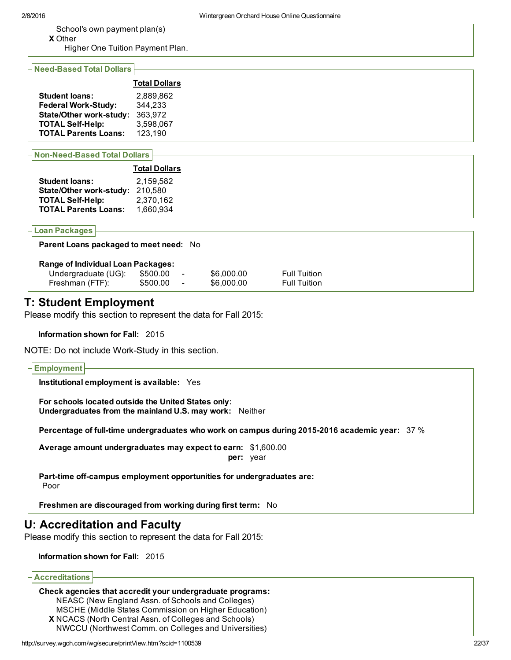School's own payment plan(s)

X Other Higher One Tuition Payment Plan.

#### **Need-Based Total Dollars**

|                                | <b>Total Dollars</b> |
|--------------------------------|----------------------|
| <b>Student loans:</b>          | 2.889.862            |
| <b>Federal Work-Study:</b>     | 344,233              |
| <b>State/Other work-study:</b> | 363,972              |
| <b>TOTAL Self-Help:</b>        | 3,598,067            |
| <b>TOTAL Parents Loans:</b>    | 123,190              |

#### **Non-Need-Based Total Dollars**

|                                | <b>Total Dollars</b> |
|--------------------------------|----------------------|
| <b>Student loans:</b>          | 2.159.582            |
| <b>State/Other work-study:</b> | 210,580              |
| <b>TOTAL Self-Help:</b>        | 2,370,162            |
| <b>TOTAL Parents Loans:</b>    | 1,660,934            |

#### Loan Packages

| <b>Parent Loans packaged to meet need: No</b> |          |                          |            |                     |  |  |  |  |  |
|-----------------------------------------------|----------|--------------------------|------------|---------------------|--|--|--|--|--|
| <b>Range of Individual Loan Packages:</b>     |          |                          |            |                     |  |  |  |  |  |
| Undergraduate (UG):                           | \$500.00 | $\overline{\phantom{a}}$ | \$6,000,00 | <b>Full Tuition</b> |  |  |  |  |  |
| Freshman (FTF):                               | \$500.00 | $\overline{\phantom{0}}$ | \$6,000.00 | <b>Full Tuition</b> |  |  |  |  |  |
|                                               |          |                          |            |                     |  |  |  |  |  |

## T: Student Employment

Please modify this section to represent the data for Fall 2015:

Information shown for Fall: 2015

NOTE: Do not include Work-Study in this section.

#### **Employment**

Institutional employment is available: Yes

For schools located outside the United States only: Undergraduates from the mainland U.S. may work: Neither

Percentage of full-time undergraduates who work on campus during 2015-2016 academic year:  $37\,\%$ 

Average amount undergraduates may expect to earn: \$1,600.00 per: year

Part-time off-campus employment opportunities for undergraduates are: Poor

Freshmen are discouraged from working during first term: No

## U: Accreditation and Faculty

Please modify this section to represent the data for Fall 2015:

#### Information shown for Fall: 2015

## Accreditations

#### X NCACS (North Central Assn. of Colleges and Schools) Check agencies that accredit your undergraduate programs: NEASC (New England Assn. of Schools and Colleges) MSCHE (Middle States Commission on Higher Education) NWCCU (Northwest Comm. on Colleges and Universities)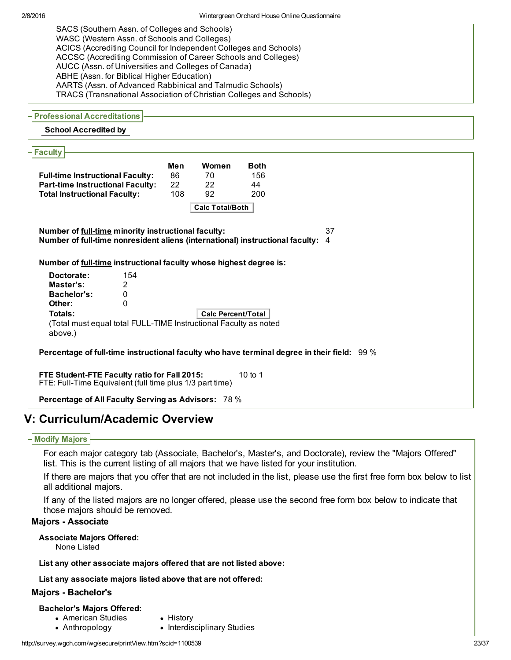SACS (Southern Assn. of Colleges and Schools) WASC (Western Assn. of Schools and Colleges) ACICS (Accrediting Council for Independent Colleges and Schools) ACCSC (Accrediting Commission of Career Schools and Colleges) AUCC (Assn. of Universities and Colleges of Canada) ABHE (Assn. for Biblical Higher Education) AARTS (Assn. of Advanced Rabbinical and Talmudic Schools) TRACS (Transnational Association of Christian Colleges and Schools)

### Professional Accreditations

## School Accredited by

| <b>Faculty</b>                                                                                                                                                                                                     |     |                           |              |  |  |  |  |  |  |
|--------------------------------------------------------------------------------------------------------------------------------------------------------------------------------------------------------------------|-----|---------------------------|--------------|--|--|--|--|--|--|
|                                                                                                                                                                                                                    | Men | Women                     | <b>B</b> oth |  |  |  |  |  |  |
|                                                                                                                                                                                                                    | 86  | 70                        | 156          |  |  |  |  |  |  |
| <b>Full-time Instructional Faculty:</b><br><b>Part-time Instructional Faculty:</b>                                                                                                                                 | 22  | 22                        | 44           |  |  |  |  |  |  |
| <b>Total Instructional Faculty:</b>                                                                                                                                                                                | 108 | 92                        | 200          |  |  |  |  |  |  |
|                                                                                                                                                                                                                    |     |                           |              |  |  |  |  |  |  |
|                                                                                                                                                                                                                    |     | <b>Calc Total/Both</b>    |              |  |  |  |  |  |  |
| 37<br>Number of full-time minority instructional faculty:<br>Number of full-time nonresident aliens (international) instructional faculty: 4<br>Number of full-time instructional faculty whose highest degree is: |     |                           |              |  |  |  |  |  |  |
| 154<br>Doctorate:                                                                                                                                                                                                  |     |                           |              |  |  |  |  |  |  |
| Master's:<br>2                                                                                                                                                                                                     |     |                           |              |  |  |  |  |  |  |
| Bachelor's:<br>0                                                                                                                                                                                                   |     |                           |              |  |  |  |  |  |  |
| $\Omega$<br>Other:                                                                                                                                                                                                 |     |                           |              |  |  |  |  |  |  |
| Totals:                                                                                                                                                                                                            |     | <b>Calc Percent/Total</b> |              |  |  |  |  |  |  |
| (Total must equal total FULL-TIME Instructional Faculty as noted<br>above.)                                                                                                                                        |     |                           |              |  |  |  |  |  |  |
| Percentage of full-time instructional faculty who have terminal degree in their field: 99%                                                                                                                         |     |                           |              |  |  |  |  |  |  |
| FTE Student-FTE Faculty ratio for Fall 2015:<br>10 to 1<br>FTE: Full-Time Equivalent (full time plus 1/3 part time)                                                                                                |     |                           |              |  |  |  |  |  |  |
| <b>Percentage of All Faculty Serving as Advisors: 78 %</b>                                                                                                                                                         |     |                           |              |  |  |  |  |  |  |

# V: Curriculum/Academic Overview

## Modify Majors

For each major category tab (Associate, Bachelor's, Master's, and Doctorate), review the "Majors Offered" list. This is the current listing of all majors that we have listed for your institution.

If there are majors that you offer that are not included in the list, please use the first free form box below to list all additional majors.

If any of the listed majors are no longer offered, please use the second free form box below to indicate that those majors should be removed.

## **Majors - Associate**

## Associate Majors Offered:

None Listed

List any other associate majors offered that are not listed above:

List any associate majors listed above that are not offered:

## Majors - Bachelor's

## Bachelor's Majors Offered:

- American Studies • History
- Anthropology
- Interdisciplinary Studies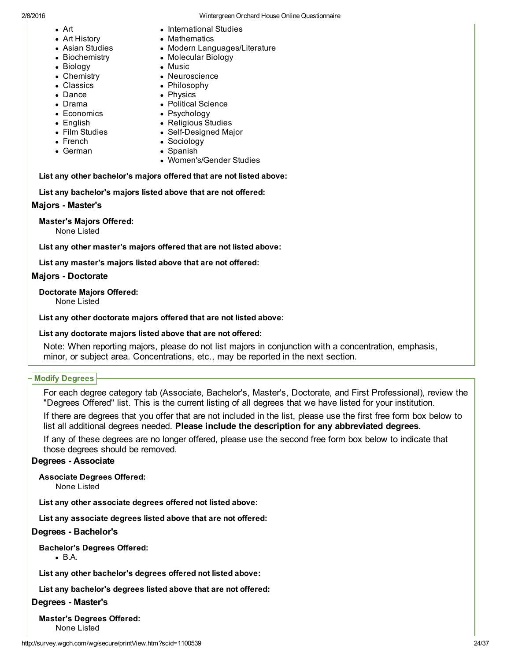- Art
- Art History
- Asian Studies
- Biochemistry
- Biology
- Chemistry
- Classics
- Dance
- Drama
- Economics
- English
- Film Studies
- French
- German
- 2/8/2016 Wintergreen Orchard House Online Questionnaire
	- International Studies
	- Mathematics
	- Modern Languages/Literature
	- Molecular Biology
	- Music
		- Neuroscience
		- Philosophy
		- Physics
		- Political Science
		- Psychology
		- Religious Studies
		- Self-Designed Major
		- Sociology
		- Spanish
		- Women's/Gender Studies

List any other bachelor's majors offered that are not listed above:

List any bachelor's majors listed above that are not offered:

## **Majors - Master's**

Master's Majors Offered: None Listed

List any other master's majors offered that are not listed above:

List any master's majors listed above that are not offered:

## **Majors - Doctorate**

Doctorate Majors Offered:

None Listed

List any other doctorate majors offered that are not listed above:

List any doctorate majors listed above that are not offered:

Note: When reporting majors, please do not list majors in conjunction with a concentration, emphasis, minor, or subject area. Concentrations, etc., may be reported in the next section.

## Modify Degrees

For each degree category tab (Associate, Bachelor's, Master's, Doctorate, and First Professional), review the "Degrees Offered" list. This is the current listing of all degrees that we have listed for your institution.

If there are degrees that you offer that are not included in the list, please use the first free form box below to list all additional degrees needed. Please include the description for any abbreviated degrees.

If any of these degrees are no longer offered, please use the second free form box below to indicate that those degrees should be removed.

## Degrees - Associate

Associate Degrees Offered:

None Listed

List any other associate degrees offered not listed above:

List any associate degrees listed above that are not offered:

## Degrees - Bachelor's

Bachelor's Degrees Offered:

B.A.

List any other bachelor's degrees offered not listed above:

List any bachelor's degrees listed above that are not offered:

Degrees - Master's

Master's Degrees Offered: None Listed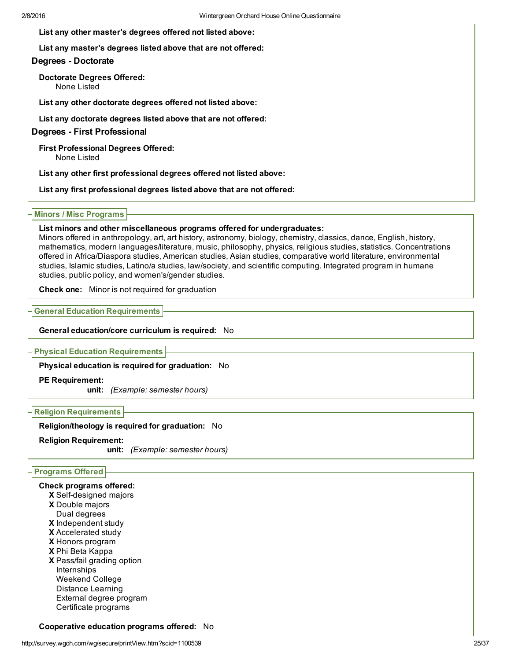List any other master's degrees offered not listed above:

List any master's degrees listed above that are not offered:

## Degrees - Doctorate

Doctorate Degrees Offered: None Listed

List any other doctorate degrees offered not listed above:

List any doctorate degrees listed above that are not offered:

## Degrees - First Professional

First Professional Degrees Offered: None Listed

List any other first professional degrees offered not listed above:

List any first professional degrees listed above that are not offered:

#### Minors / Misc Programs

#### List minors and other miscellaneous programs offered for undergraduates:

Minors offered in anthropology, art, art history, astronomy, biology, chemistry, classics, dance, English, history, mathematics, modern languages/literature, music, philosophy, physics, religious studies, statistics. Concentrations offered in Africa/Diaspora studies, American studies, Asian studies, comparative world literature, environmental studies, Islamic studies, Latino/a studies, law/society, and scientific computing. Integrated program in humane studies, public policy, and women's/gender studies.

Check one: Minor is not required for graduation

### General Education Requirements

### General education/core curriculum is required: No

Physical Education Requirements

Physical education is required for graduation: No

#### PE Requirement:

unit: *(Example: semester hours)*

## Religion Requirements

## Religion/theology is required for graduation: No

## Religion Requirement:

unit: *(Example: semester hours)*

## Programs Offered

#### Check programs offered:

- X Self-designed majors
- X Double majors
- Dual degrees
- X Independent study
- X Accelerated study
- X Honors program
- X Phi Beta Kappa
- X Pass/fail grading option Internships Weekend College Distance Learning External degree program Certificate programs

#### Cooperative education programs offered: No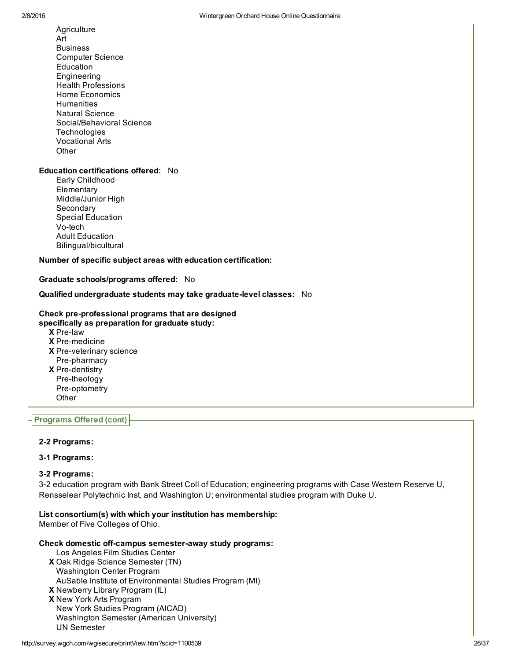Art Business Computer Science Education Engineering Health Professions Home Economics **Humanities** Natural Science Social/Behavioral Science **Technologies** Vocational Arts **Other** 

**Agriculture** 

#### Education certifications offered: No

Early Childhood **Elementary** Middle/Junior High **Secondary** Special Education Vo-tech Adult Education Bilingual/bicultural

Number of specific subject areas with education certification:

Graduate schools/programs offered: No

Qualified undergraduate students may take graduate-level classes: No

#### Check pre-professional programs that are designed specifically as preparation for graduate study:

- X Prelaw **X** Pre-medicine X Pre-veterinary science **X** Pre-dentistry Pre-pharmacy Pre-theology Pre-optometry
- **Other**

## Programs Offered (cont)

#### 2-2 Programs:

## 3-1 Programs:

#### 32 Programs:

3‐2 education program with Bank Street Coll of Education; engineering programs with Case Western Reserve U, Rensselear Polytechnic Inst, and Washington U; environmental studies program with Duke U.

List consortium(s) with which your institution has membership:

Member of Five Colleges of Ohio.

#### Check domestic off-campus semester-away study programs:

- X Oak Ridge Science Semester (TN) Los Angeles Film Studies Center
- Washington Center Program AuSable Institute of Environmental Studies Program (MI)
- X Newberry Library Program (IL) X New York Arts Program New York Studies Program (AICAD) Washington Semester (American University)

UN Semester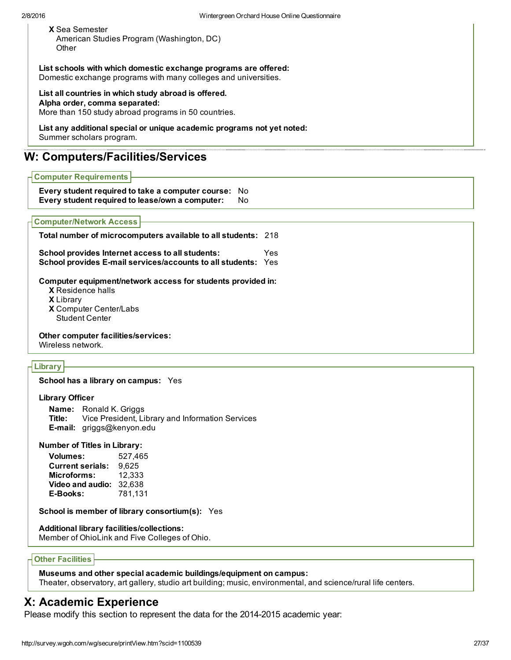| <b>X</b> Sea Semester                     |  |
|-------------------------------------------|--|
| American Studies Program (Washington, DC) |  |
| Other                                     |  |

List schools with which domestic exchange programs are offered: Domestic exchange programs with many colleges and universities.

List all countries in which study abroad is offered. Alpha order, comma separated: More than 150 study abroad programs in 50 countries.

#### List any additional special or unique academic programs not yet noted: Summer scholars program.

## W: Computers/Facilities/Services

## Computer Requirements

Every student required to take a computer course: No Every student required to lease/own a computer: No

#### Computer/Network Access

| Total number of microcomputers available to all students: 218                                                            |     |
|--------------------------------------------------------------------------------------------------------------------------|-----|
| School provides Internet access to all students:<br><b>School provides E-mail services/accounts to all students: Yes</b> | Yes |

Computer equipment/network access for students provided in:

- X Residence halls
- X Library
- X Computer Center/Labs Student Center

Other computer facilities/services:

Wireless network.

## **Library**

School has a library on campus: Yes

#### Library Officer

Name: Ronald K. Griggs Title: Vice President, Library and Information Services Email: griggs@kenyon.edu

Number of Titles in Library:

Volumes: 527,465 Current serials: 9,625 Microforms: 12,333 Video and audio: 32,638 EBooks: 781,131

School is member of library consortium(s): Yes

## Additional library facilities/collections:

Member of OhioLink and Five Colleges of Ohio.

#### **Other Facilities**

#### Museums and other special academic buildings/equipment on campus:

Theater, observatory, art gallery, studio art building; music, environmental, and science/rural life centers.

# X: Academic Experience

Please modify this section to represent the data for the 2014-2015 academic year: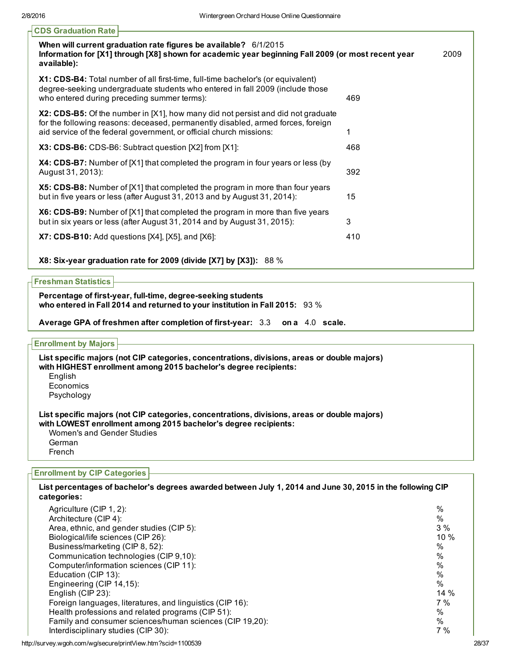| <b>CDS Graduation Rate</b>                                                                                                                                                                                                                  |     |      |
|---------------------------------------------------------------------------------------------------------------------------------------------------------------------------------------------------------------------------------------------|-----|------|
| When will current graduation rate figures be available? 6/1/2015<br>Information for [X1] through [X8] shown for academic year beginning Fall 2009 (or most recent year<br>available):                                                       |     | 2009 |
| X1: CDS-B4: Total number of all first-time, full-time bachelor's (or equivalent)<br>degree-seeking undergraduate students who entered in fall 2009 (include those<br>who entered during preceding summer terms):                            | 469 |      |
| X2: CDS-B5: Of the number in [X1], how many did not persist and did not graduate<br>for the following reasons: deceased, permanently disabled, armed forces, foreign<br>aid service of the federal government, or official church missions: |     |      |
| <b>X3: CDS-B6:</b> CDS-B6: Subtract question [X2] from [X1]:                                                                                                                                                                                | 468 |      |
| X4: CDS-B7: Number of [X1] that completed the program in four years or less (by<br>August 31, 2013):                                                                                                                                        | 392 |      |
| X5: CDS-B8: Number of [X1] that completed the program in more than four years<br>but in five years or less (after August 31, 2013 and by August 31, 2014):                                                                                  | 15  |      |
| X6: CDS-B9: Number of [X1] that completed the program in more than five years<br>but in six years or less (after August 31, 2014 and by August 31, 2015):                                                                                   | 3   |      |
| X7: CDS-B10: Add questions [X4], [X5], and [X6]:                                                                                                                                                                                            | 410 |      |
|                                                                                                                                                                                                                                             |     |      |

X8: Six-year graduation rate for 2009 (divide [X7] by [X3]): 88 %

#### Freshman Statistics

Percentage of first-year, full-time, degree-seeking students who entered in Fall 2014 and returned to your institution in Fall 2015: 93 %

Average GPA of freshmen after completion of first-year: 3.3 on a 4.0 scale.

#### Enrollment by Majors

List specific majors (not CIP categories, concentrations, divisions, areas or double majors) with HIGHEST enrollment among 2015 bachelor's degree recipients: English Economics Psychology List specific majors (not CIP categories, concentrations, divisions, areas or double majors) with LOWEST enrollment among 2015 bachelor's degree recipients: Women's and Gender Studies German French

#### Enrollment by CIP Categories

### List percentages of bachelor's degrees awarded between July 1, 2014 and June 30, 2015 in the following CIP categories:

| Agriculture (CIP 1, 2):                                   | %      |
|-----------------------------------------------------------|--------|
| Architecture (CIP 4):                                     | $\%$   |
| Area, ethnic, and gender studies (CIP 5):                 | 3%     |
| Biological/life sciences (CIP 26):                        | 10%    |
| Business/marketing (CIP 8, 52):                           | $\%$   |
| Communication technologies (CIP 9,10):                    | %      |
| Computer/information sciences (CIP 11):                   | $\%$   |
| Education (CIP 13):                                       | %      |
| Engineering (CIP 14,15):                                  | $\%$   |
| English (CIP 23):                                         | $14\%$ |
| Foreign languages, literatures, and linguistics (CIP 16): | 7%     |
| Health professions and related programs (CIP 51):         | %      |
| Family and consumer sciences/human sciences (CIP 19,20):  | $\%$   |
| Interdisciplinary studies (CIP 30):                       | 7%     |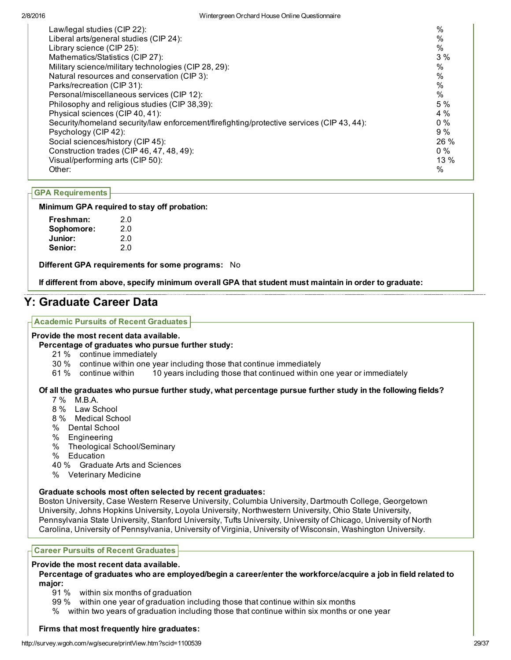| Law/legal studies (CIP 22):                                                               | $\%$          |
|-------------------------------------------------------------------------------------------|---------------|
| Liberal arts/general studies (CIP 24):                                                    | $\%$          |
| Library science (CIP 25):                                                                 | $\%$          |
| Mathematics/Statistics (CIP 27):                                                          | 3%            |
| Military science/military technologies (CIP 28, 29):                                      | $\%$          |
| Natural resources and conservation (CIP 3):                                               | $\%$          |
| Parks/recreation (CIP 31):                                                                | $\%$          |
| Personal/miscellaneous services (CIP 12):                                                 | $\frac{0}{0}$ |
| Philosophy and religious studies (CIP 38,39):                                             | 5 %           |
| Physical sciences (CIP 40, 41):                                                           | $4\%$         |
| Security/homeland security/law enforcement/firefighting/protective services (CIP 43, 44): | $0\%$         |
| Psychology (CIP 42):                                                                      | 9%            |
| Social sciences/history (CIP 45):                                                         | 26 %          |
| Construction trades (CIP 46, 47, 48, 49):                                                 | $0\%$         |
| Visual/performing arts (CIP 50):                                                          | 13%           |
| Other:                                                                                    | $\frac{0}{0}$ |

## GPA Requirements

## Minimum GPA required to stay off probation:

| Freshman:  | 2.0 |
|------------|-----|
| Sophomore: | 2.0 |
| Junior:    | 2.0 |
| Senior:    | 2.0 |

Different GPA requirements for some programs: No

If different from above, specify minimum overall GPA that student must maintain in order to graduate:

# Y: Graduate Career Data

#### Academic Pursuits of Recent Graduates

#### Provide the most recent data available.

#### Percentage of graduates who pursue further study:

- 21 % continue immediately
- 30 % continue within one year including those that continue immediately
- 61 % continue within 10 years including those that continued within one year or immediately

## Of all the graduates who pursue further study, what percentage pursue further study in the following fields?

- 7 % M.B.A.
- 8 % Law School
- 8 % Medical School
- % Dental School
- % Engineering
- % Theological School/Seminary
- % Education
- 40 % Graduate Arts and Sciences
- % Veterinary Medicine

## Graduate schools most often selected by recent graduates:

Boston University, Case Western Reserve University, Columbia University, Dartmouth College, Georgetown University, Johns Hopkins University, Loyola University, Northwestern University, Ohio State University, Pennsylvania State University, Stanford University, Tufts University, University of Chicago, University of North Carolina, University of Pennsylvania, University of Virginia, University of Wisconsin, Washington University.

## Career Pursuits of Recent Graduates

#### Provide the most recent data available.

Percentage of graduates who are employed/begin a career/enter the workforce/acquire a job in field related to major:

- 91 % within six months of graduation
- 99 % within one year of graduation including those that continue within six months
- % within two years of graduation including those that continue within six months or one year

## Firms that most frequently hire graduates: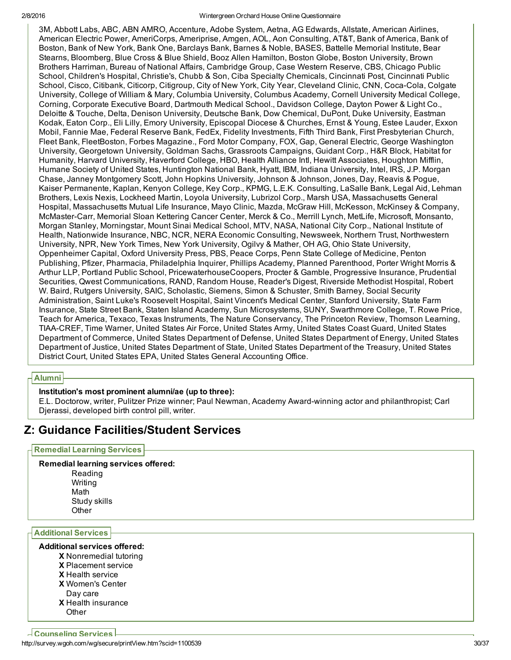3M, Abbott Labs, ABC, ABN AMRO, Accenture, Adobe System, Aetna, AG Edwards, Allstate, American Airlines, American Electric Power, AmeriCorps, Ameriprise, Amgen, AOL, Aon Consulting, AT&T, Bank of America, Bank of Boston, Bank of New York, Bank One, Barclays Bank, Barnes & Noble, BASES, Battelle Memorial Institute, Bear Stearns, Bloomberg, Blue Cross & Blue Shield, Booz Allen Hamilton, Boston Globe, Boston University, Brown Brothers Harriman, Bureau of National Affairs, Cambridge Group, Case Western Reserve, CBS, Chicago Public School, Children's Hospital, Christie's, Chubb & Son, Ciba Specialty Chemicals, Cincinnati Post, Cincinnati Public School, Cisco, Citibank, Citicorp, Citigroup, City of New York, City Year, Cleveland Clinic, CNN, Coca-Cola, Colgate University, College of William & Mary, Columbia University, Columbus Academy, Cornell University Medical College, Corning, Corporate Executive Board, Dartmouth Medical School., Davidson College, Dayton Power & Light Co., Deloitte & Touche, Delta, Denison University, Deutsche Bank, Dow Chemical, DuPont, Duke University, Eastman Kodak, Eaton Corp., Eli Lilly, Emory University, Episcopal Diocese & Churches, Ernst & Young, Estee Lauder, Exxon Mobil, Fannie Mae, Federal Reserve Bank, FedEx, Fidelity Investments, Fifth Third Bank, First Presbyterian Church, Fleet Bank, FleetBoston, Forbes Magazine., Ford Motor Company, FOX, Gap, General Electric, George Washington University, Georgetown University, Goldman Sachs, Grassroots Campaigns, Guidant Corp., H&R Block, Habitat for Humanity, Harvard University, Haverford College, HBO, Health Alliance Intl, Hewitt Associates, Houghton Mifflin, Humane Society of United States, Huntington National Bank, Hyatt, IBM, Indiana University, Intel, IRS, J.P. Morgan Chase, Janney Montgomery Scott, John Hopkins University, Johnson & Johnson, Jones, Day, Reavis & Pogue, Kaiser Permanente, Kaplan, Kenyon College, Key Corp., KPMG, L.E.K. Consulting, LaSalle Bank, Legal Aid, Lehman Brothers, Lexis Nexis, Lockheed Martin, Loyola University, Lubrizol Corp., Marsh USA, Massachusetts General Hospital, Massachusetts Mutual Life Insurance, Mayo Clinic, Mazda, McGraw Hill, McKesson, McKinsey & Company, McMasterCarr, Memorial Sloan Kettering Cancer Center, Merck & Co., Merrill Lynch, MetLife, Microsoft, Monsanto, Morgan Stanley, Morningstar, Mount Sinai Medical School, MTV, NASA, National City Corp., National Institute of Health, Nationwide Insurance, NBC, NCR, NERA Economic Consulting, Newsweek, Northern Trust, Northwestern University, NPR, New York Times, New York University, Ogilvy & Mather, OH AG, Ohio State University, Oppenheimer Capital, Oxford University Press, PBS, Peace Corps, Penn State College of Medicine, Penton Publishing, Pfizer, Pharmacia, Philadelphia Inquirer, Phillips Academy, Planned Parenthood, Porter Wright Morris & Arthur LLP, Portland Public School, PricewaterhouseCoopers, Procter & Gamble, Progressive Insurance, Prudential Securities, Qwest Communications, RAND, Random House, Reader's Digest, Riverside Methodist Hospital, Robert W. Baird, Rutgers University, SAIC, Scholastic, Siemens, Simon & Schuster, Smith Barney, Social Security Administration, Saint Luke's Roosevelt Hospital, Saint Vincent's Medical Center, Stanford University, State Farm Insurance, State Street Bank, Staten Island Academy, Sun Microsystems, SUNY, Swarthmore College, T. Rowe Price, Teach for America, Texaco, Texas Instruments, The Nature Conservancy, The Princeton Review, Thomson Learning, TIAA-CREF, Time Warner, United States Air Force, United States Army, United States Coast Guard, United States Department of Commerce, United States Department of Defense, United States Department of Energy, United States Department of Justice, United States Department of State, United States Department of the Treasury, United States District Court, United States EPA, United States General Accounting Office.

## Alumni

## Institution's most prominent alumni/ae (up to three):

E.L. Doctorow, writer, Pulitzer Prize winner; Paul Newman, Academy Awardwinning actor and philanthropist; Carl Djerassi, developed birth control pill, writer.

# Z: Guidance Facilities/Student Services

## Remedial Learning Services

# Remedial learning services offered:

Reading Writing Math Study skills **Other** 

Additional Services

## Additional services offered:

- X Nonremedial tutoring
- X Placement service
- X Health service
- X Women's Center
- X Health insurance Day care
- **Other**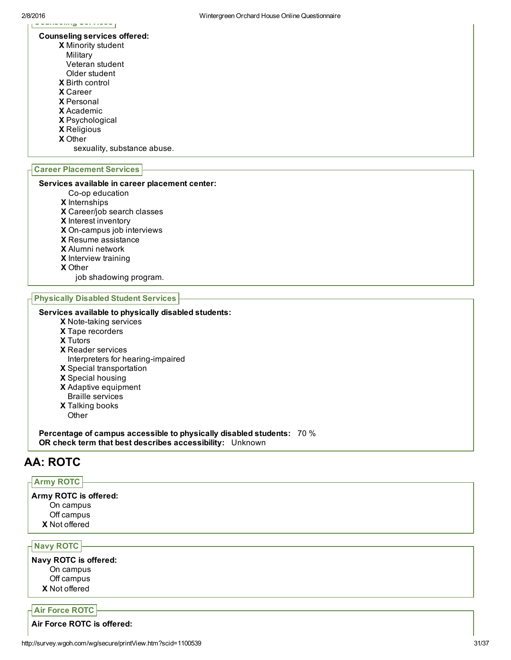#### Counseling services offered:

- X Minority student
	- Military
	- Veteran student
	- Older student
- X Birth control
- X Career
- X Personal
- X Academic
- X Psychological
- X Religious
- X Other

sexuality, substance abuse.

## Career Placement Services

#### Services available in career placement center:

- Co-op education
- X Internships
- X Career/job search classes
- X Interest inventory
- X On-campus job interviews
- X Resume assistance
- X Alumni network
- X Interview training
- X Other

job shadowing program.

#### Physically Disabled Student Services

## Services available to physically disabled students:

- X Note-taking services
- X Tape recorders
- X Tutors
- X Reader services Interpreters for hearing-impaired
- X Special transportation
- X Special housing
- X Adaptive equipment
- Braille services
- X Talking books
- **Other**

Percentage of campus accessible to physically disabled students: 70 % OR check term that best describes accessibility: Unknown

# AA: ROTC

## Army ROTC

X Not offered Army ROTC is offered: On campus Off campus

## Navy ROTC

X Not offered Navy ROTC is offered: On campus Off campus

## Air Force ROTC

Air Force ROTC is offered: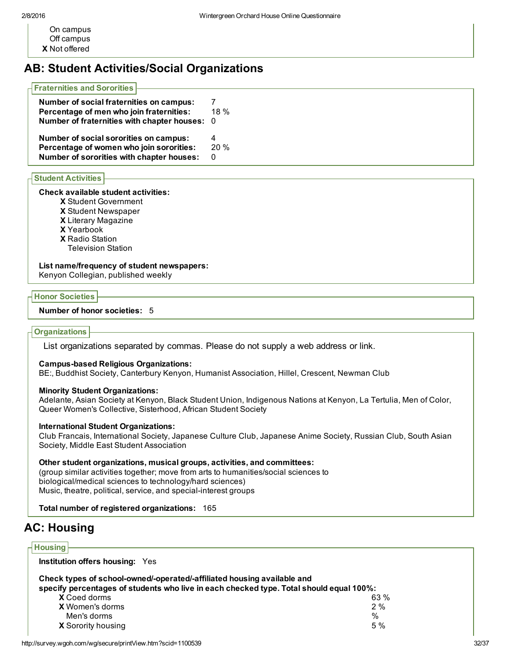X Not offered On campus Off campus

# AB: Student Activities/Social Organizations

| $\mathop{\mathsf{F}}$ Fraternities and Sororities $\mathop{\mathsf{F}}$ |         |
|-------------------------------------------------------------------------|---------|
| Number of social fraternities on campus:                                |         |
| Percentage of men who join fraternities:                                | $18 \%$ |
| Number of fraternities with chapter houses: 0                           |         |
| Number of social sororities on campus:                                  | 4       |
| Percentage of women who join sororities:                                | 20%     |
| Number of sororities with chapter houses:                               | 0       |

## Student Activities

## Check available student activities:

- X Student Government
- X Student Newspaper
- X Literary Magazine
- X Yearbook
- X Radio Station
- Television Station

#### List name/frequency of student newspapers:

Kenyon Collegian, published weekly

#### Honor Societies

#### Number of honor societies: 5

#### **Organizations**

List organizations separated by commas. Please do not supply a web address or link.

#### Campus-based Religious Organizations:

BE:, Buddhist Society, Canterbury Kenyon, Humanist Association, Hillel, Crescent, Newman Club

### Minority Student Organizations:

Adelante, Asian Society at Kenyon, Black Student Union, Indigenous Nations at Kenyon, La Tertulia, Men of Color, Queer Women's Collective, Sisterhood, African Student Society

#### International Student Organizations:

Club Francais, International Society, Japanese Culture Club, Japanese Anime Society, Russian Club, South Asian Society, Middle East Student Association

## Other student organizations, musical groups, activities, and committees:

(group similar activities together; move from arts to humanities/social sciences to biological/medical sciences to technology/hard sciences) Music, theatre, political, service, and special-interest groups

## Total number of registered organizations: 165

# AC: Housing

## **Housing**

Institution offers housing: Yes

#### Check types of school-owned/-operated/-affiliated housing available and

specify percentages of students who live in each checked type. Total should equal 100%:

| <b>X</b> Coed dorms       |  | 63 % |
|---------------------------|--|------|
| <b>X</b> Women's dorms    |  | 2%   |
| Men's dorms               |  | $\%$ |
| <b>X</b> Sorority housing |  | 5%   |
|                           |  |      |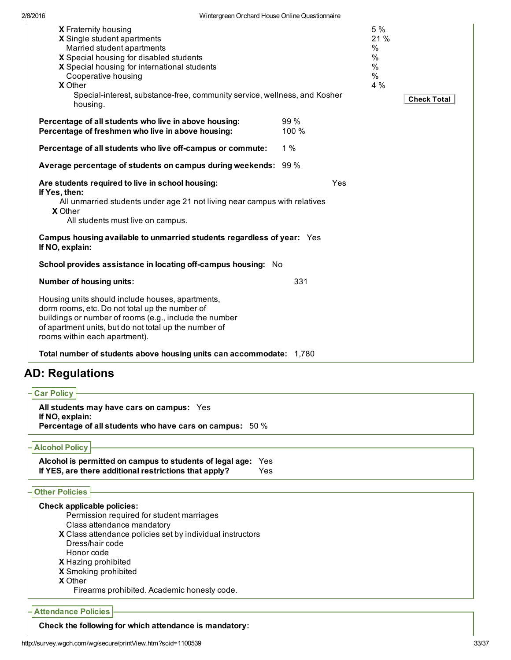| X Fraternity housing<br>X Single student apartments                                       |       |     | 5 %<br>21 %        |
|-------------------------------------------------------------------------------------------|-------|-----|--------------------|
| Married student apartments                                                                |       |     | $\%$               |
| X Special housing for disabled students                                                   |       |     | $\%$               |
| X Special housing for international students                                              |       |     | $\%$               |
| Cooperative housing                                                                       |       |     | $\%$               |
| X Other                                                                                   |       |     | 4 %                |
| Special-interest, substance-free, community service, wellness, and Kosher                 |       |     |                    |
| housing.                                                                                  |       |     | <b>Check Total</b> |
| Percentage of all students who live in above housing:                                     | 99 %  |     |                    |
| Percentage of freshmen who live in above housing:                                         | 100 % |     |                    |
| Percentage of all students who live off-campus or commute:                                | 1%    |     |                    |
| Average percentage of students on campus during weekends: 99 %                            |       |     |                    |
| Are students required to live in school housing:<br>If Yes, then:                         |       | Yes |                    |
| All unmarried students under age 21 not living near campus with relatives                 |       |     |                    |
| <b>X</b> Other<br>All students must live on campus.                                       |       |     |                    |
| Campus housing available to unmarried students regardless of year: Yes<br>If NO, explain: |       |     |                    |
| School provides assistance in locating off-campus housing: No                             |       |     |                    |
| Number of housing units:                                                                  | 331   |     |                    |
| Housing units should include houses, apartments,                                          |       |     |                    |
| dorm rooms, etc. Do not total up the number of                                            |       |     |                    |
| buildings or number of rooms (e.g., include the number                                    |       |     |                    |
| of apartment units, but do not total up the number of<br>rooms within each apartment).    |       |     |                    |
|                                                                                           |       |     |                    |
| Total number of students above housing units can accommodate: 1,780                       |       |     |                    |
| <b>AD: Regulations</b>                                                                    |       |     |                    |
| Car Policy                                                                                |       |     |                    |
| All students may have cars on campus: Yes                                                 |       |     |                    |
| If NO, explain:<br>Percentage of all students who have cars on campus: 50 %               |       |     |                    |
| <b>Alcohol Policy</b>                                                                     |       |     |                    |
| Alcohol is permitted on campus to students of legal age:                                  |       |     |                    |
| Yes<br>If YES, are there additional restrictions that apply?<br>Yes                       |       |     |                    |
| <b>Other Policies</b>                                                                     |       |     |                    |
| Check applicable policies:                                                                |       |     |                    |
| Permission required for student marriages                                                 |       |     |                    |
| Class attendance mandatory                                                                |       |     |                    |
| X Class attendance policies set by individual instructors                                 |       |     |                    |
| Dress/hair code                                                                           |       |     |                    |
| Honor code                                                                                |       |     |                    |
| X Hazing prohibited                                                                       |       |     |                    |
| X Smoking prohibited                                                                      |       |     |                    |
| <b>X</b> Other                                                                            |       |     |                    |
| Firearms prohibited. Academic honesty code.                                               |       |     |                    |

Attendance Policies

Check the following for which attendance is mandatory: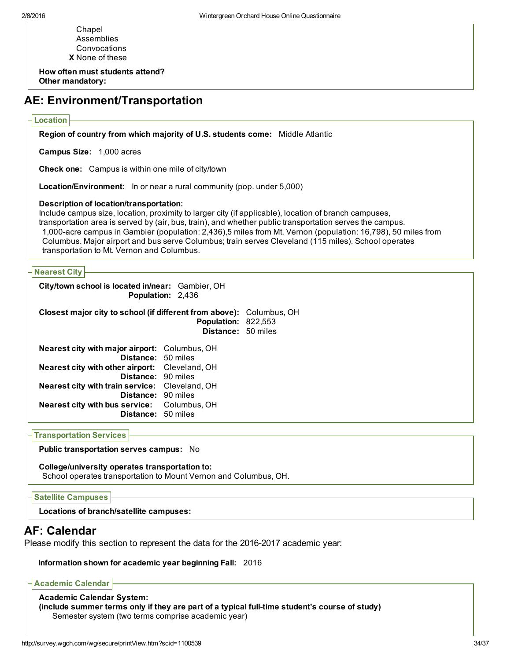X None of these Chapel Assemblies Convocations

How often must students attend? Other mandatory:

## AE: Environment/Transportation

#### Location

Region of country from which majority of U.S. students come: Middle Atlantic

Campus Size: 1,000 acres

Check one: Campus is within one mile of city/town

Location/Environment: In or near a rural community (pop. under 5,000)

#### Description of location/transportation:

Include campus size, location, proximity to larger city (if applicable), location of branch campuses, transportation area is served by (air, bus, train), and whether public transportation serves the campus. 1,000-acre campus in Gambier (population: 2,436),5 miles from Mt. Vernon (population: 16,798), 50 miles from Columbus. Major airport and bus serve Columbus; train serves Cleveland (115 miles). School operates transportation to Mt. Vernon and Columbus.

#### Nearest City

City/town school is located in/near: Gambier, OH Population: 2,436

## Closest major city to school (if different from above): Columbus, OH Population: 822,553 Distance: 50 miles

| <b>Nearest city with major airport:</b> Columbus, OH  |  |
|-------------------------------------------------------|--|
| Distance: 50 miles                                    |  |
| Nearest city with other airport: Cleveland, OH        |  |
| Distance: 90 miles                                    |  |
| <b>Nearest city with train service:</b> Cleveland, OH |  |
| Distance: 90 miles                                    |  |
| Nearest city with bus service: Columbus, OH           |  |
| Distance: 50 miles                                    |  |
|                                                       |  |

Transportation Services

Public transportation serves campus: No

## College/university operates transportation to:

School operates transportation to Mount Vernon and Columbus, OH.

#### Satellite Campuses

Locations of branch/satellite campuses:

## AF: Calendar

Please modify this section to represent the data for the 2016-2017 academic year:

#### Information shown for academic year beginning Fall: 2016

Academic Calendar

Academic Calendar System: (include summer terms only if they are part of a typical full-time student's course of study) Semester system (two terms comprise academic year)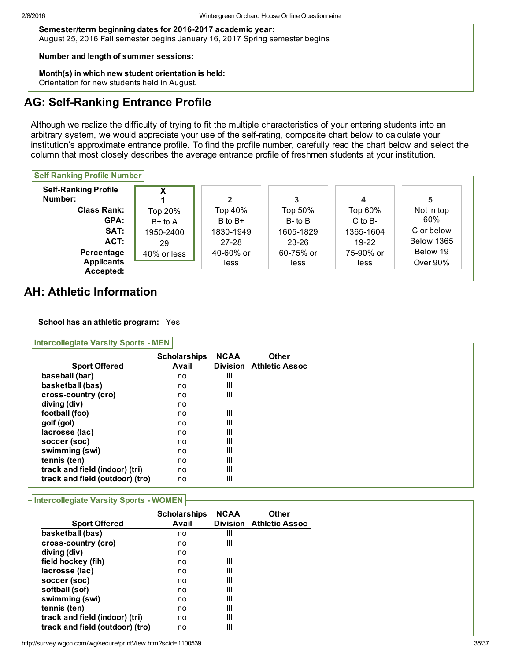Semester/term beginning dates for 2016-2017 academic year: August 25, 2016 Fall semester begins January 16, 2017 Spring semester begins

#### Number and length of summer sessions:

Month(s) in which new student orientation is held: Orientation for new students held in August.

# AG: Self-Ranking Entrance Profile

Although we realize the difficulty of trying to fit the multiple characteristics of your entering students into an arbitrary system, we would appreciate your use of the self-rating, composite chart below to calculate your institution's approximate entrance profile. To find the profile number, carefully read the chart below and select the column that most closely describes the average entrance profile of freshmen students at your institution.

## $\overline{\mathsf{B}}$  Self Ranking Profile Number

| <b>Self-Ranking Profile</b><br>Number:       | x           | $\mathbf{2}$      | 3                 | 4                 |                      |
|----------------------------------------------|-------------|-------------------|-------------------|-------------------|----------------------|
| <b>Class Rank:</b>                           | Top 20%     | Top 40%           | Top 50%           | Top 60%           | Not in top           |
| GPA:                                         | $B+$ to A   | $B$ to $B+$       | $B$ - to $B$      | $C$ to $B-$       | 60%                  |
| SAT:                                         | 1950-2400   | 1830-1949         | 1605-1829         | 1365-1604         | C or below           |
| ACT:                                         | 29          | $27 - 28$         | $23 - 26$         | 19-22             | <b>Below 1365</b>    |
| Percentage<br><b>Applicants</b><br>Accepted: | 40% or less | 40-60% or<br>less | 60-75% or<br>less | 75-90% or<br>less | Below 19<br>Over 90% |

# AH: Athletic Information

## School has an athletic program: Yes

| $\overline{\phantom{a}}$ Intercollegiate Varsity Sports - MEN |                              |                                |                                       |
|---------------------------------------------------------------|------------------------------|--------------------------------|---------------------------------------|
| <b>Sport Offered</b>                                          | <b>Scholarships</b><br>Avail | <b>NCAA</b><br><b>Division</b> | <b>Other</b><br><b>Athletic Assoc</b> |
| baseball (bar)                                                | no                           | Ш                              |                                       |
| basketball (bas)                                              | no                           | Ш                              |                                       |
| cross-country (cro)                                           | no                           | Ш                              |                                       |
| diving (div)                                                  | no                           |                                |                                       |
| football (foo)                                                | no                           | Ш                              |                                       |
| golf (gol)                                                    | no                           | Ш                              |                                       |
| lacrosse (lac)                                                | no                           | Ш                              |                                       |
| soccer (soc)                                                  | no                           | Ш                              |                                       |
| swimming (swi)                                                | no                           | Ш                              |                                       |
| tennis (ten)                                                  | no                           | Ш                              |                                       |
| track and field (indoor) (tri)                                | no                           | Ш                              |                                       |
| track and field (outdoor) (tro)                               | no                           | Ш                              |                                       |

## **Intercollegiate Varsity Sports - WOMEN**

| <b>Sport Offered</b>            | <b>Scholarships</b><br>Avail | <b>NCAA</b> | Other<br><b>Division Athletic Assoc</b> |
|---------------------------------|------------------------------|-------------|-----------------------------------------|
| basketball (bas)                | no                           | Ш           |                                         |
| cross-country (cro)             | no                           | Ш           |                                         |
| diving (div)                    | no                           |             |                                         |
| field hockey (fih)              | no                           | Ш           |                                         |
| lacrosse (lac)                  | no                           | Ш           |                                         |
| soccer (soc)                    | no                           | Ш           |                                         |
| softball (sof)                  | no                           | Ш           |                                         |
| swimming (swi)                  | no                           | Ш           |                                         |
| tennis (ten)                    | no                           | Ш           |                                         |
| track and field (indoor) (tri)  | no                           | Ш           |                                         |
| track and field (outdoor) (tro) | no                           | Ш           |                                         |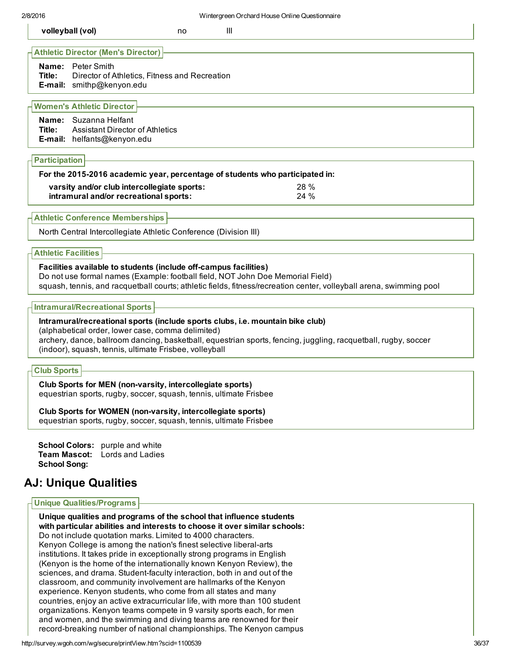| volleyball (vol)                                                                                                                                                      | no | Ш |  |  |
|-----------------------------------------------------------------------------------------------------------------------------------------------------------------------|----|---|--|--|
| <b>Hathletic Director (Men's Director)</b><br><b>Name:</b> Peter Smith<br>Director of Athletics, Fitness and Recreation<br>Title:<br><b>E-mail:</b> smithp@kenyon.edu |    |   |  |  |

## Women's Athletic Director

| Name: Suzanna Helfant                         |
|-----------------------------------------------|
| <b>Title:</b> Assistant Director of Athletics |
| <b>E-mail:</b> helfants@kenyon.edu            |

#### Participation

| For the 2015-2016 academic year, percentage of students who participated in: |      |
|------------------------------------------------------------------------------|------|
| varsity and/or club intercollegiate sports:                                  | 28 % |
| intramural and/or recreational sports:                                       | 24%  |

#### Athletic Conference Memberships

North Central Intercollegiate Athletic Conference (Division III)

## Athletic Facilities

#### Facilities available to students (include off-campus facilities)

Do not use formal names (Example: football field, NOT John Doe Memorial Field) squash, tennis, and racquetball courts; athletic fields, fitness/recreation center, volleyball arena, swimming pool

#### Intramural/Recreational Sports

#### Intramural/recreational sports (include sports clubs, i.e. mountain bike club)

(alphabetical order, lower case, comma delimited) archery, dance, ballroom dancing, basketball, equestrian sports, fencing, juggling, racquetball, rugby, soccer (indoor), squash, tennis, ultimate Frisbee, volleyball

#### Club Sports

Club Sports for MEN (non-varsity, intercollegiate sports) equestrian sports, rugby, soccer, squash, tennis, ultimate Frisbee

Club Sports for WOMEN (non-varsity, intercollegiate sports)

equestrian sports, rugby, soccer, squash, tennis, ultimate Frisbee

School Colors: purple and white Team Mascot: Lords and Ladies School Song:

# AJ: Unique Qualities

#### Unique Qualities/Programs

Unique qualities and programs of the school that influence students with particular abilities and interests to choose it over similar schools: Do not include quotation marks. Limited to 4000 characters. Kenyon College is among the nation's finest selective liberal-arts institutions. It takes pride in exceptionally strong programs in English (Kenyon is the home of the internationally known Kenyon Review), the sciences, and drama. Student-faculty interaction, both in and out of the classroom, and community involvement are hallmarks of the Kenyon experience. Kenyon students, who come from all states and many countries, enjoy an active extracurricular life, with more than 100 student organizations. Kenyon teams compete in 9 varsity sports each, for men and women, and the swimming and diving teams are renowned for their record-breaking number of national championships. The Kenyon campus